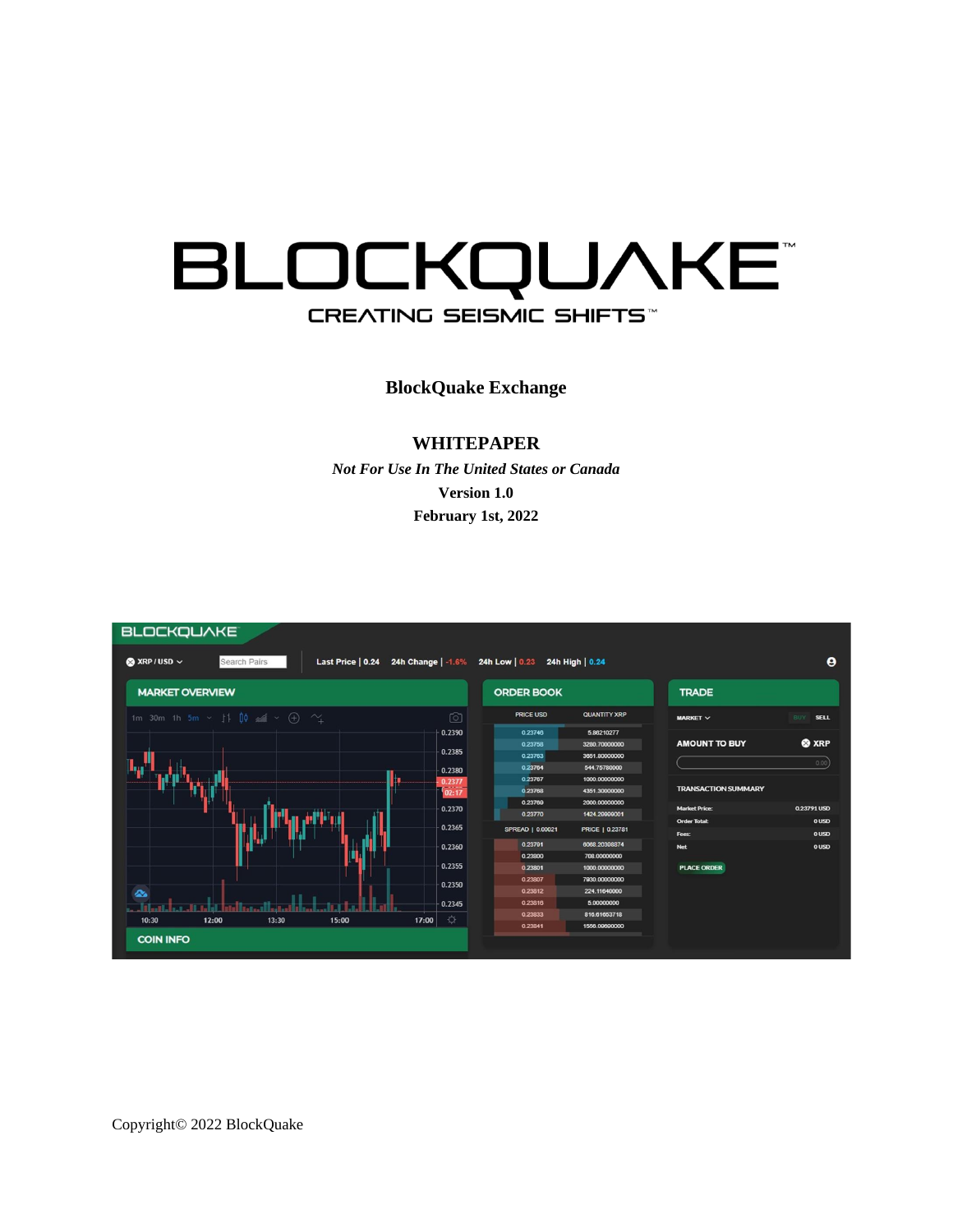# **BLOCKQUAKE** CREATING SEISMIC SHIFTS

**BlockQuake Exchange**

#### **WHITEPAPER**

*Not For Use In The United States or Canada* **Version 1.0 February 1st, 2022** 



Copyright© 2022 BlockQuake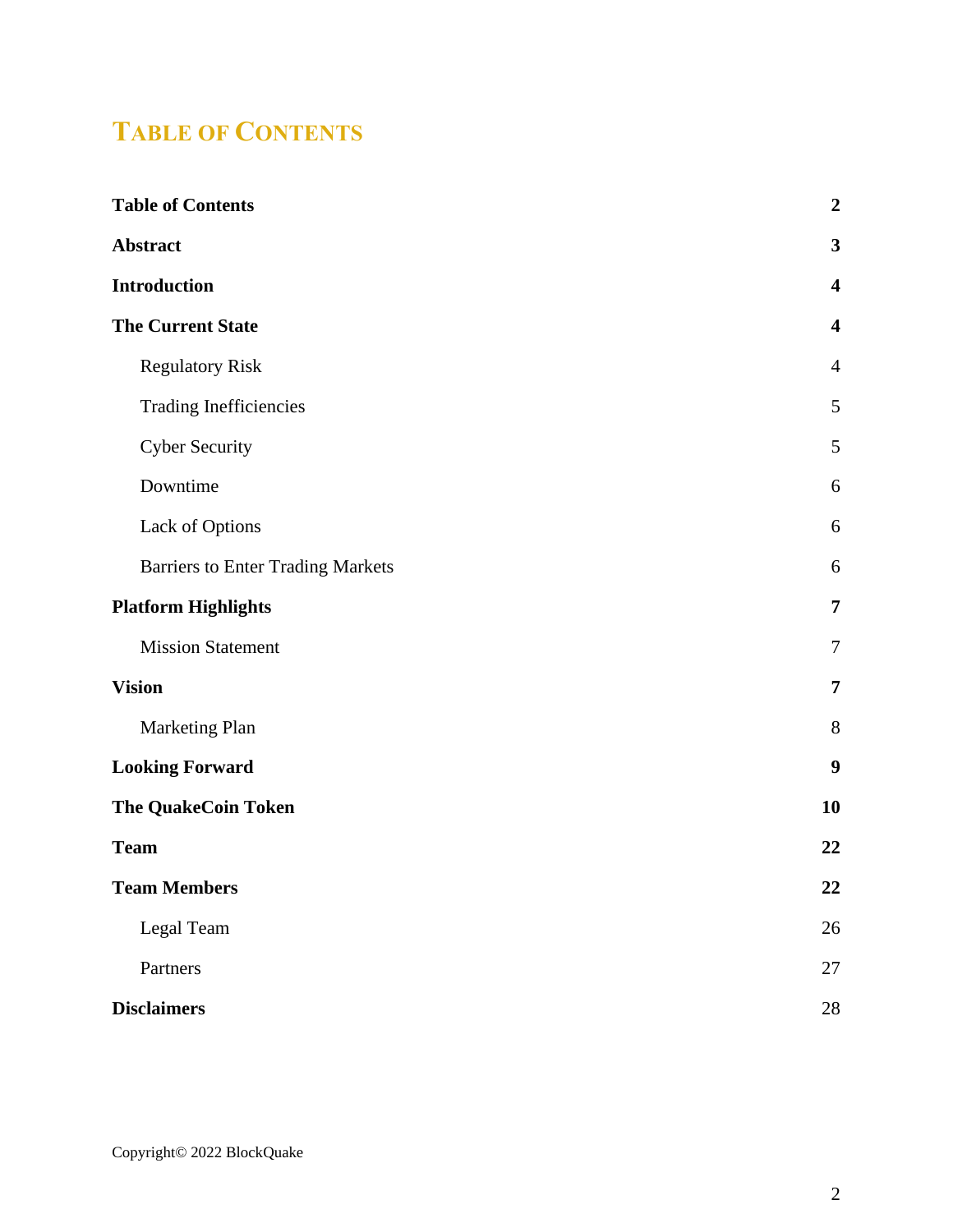## <span id="page-1-0"></span>**TABLE OF CONTENTS**

| <b>Table of Contents</b>                 | $\boldsymbol{2}$        |
|------------------------------------------|-------------------------|
| Abstract                                 | $\mathbf{3}$            |
| <b>Introduction</b>                      | $\overline{\mathbf{4}}$ |
| <b>The Current State</b>                 | $\overline{\mathbf{4}}$ |
| <b>Regulatory Risk</b>                   | $\overline{4}$          |
| Trading Inefficiencies                   | 5                       |
| <b>Cyber Security</b>                    | 5                       |
| Downtime                                 | 6                       |
| Lack of Options                          | 6                       |
| <b>Barriers to Enter Trading Markets</b> | 6                       |
| <b>Platform Highlights</b>               | $\overline{7}$          |
| <b>Mission Statement</b>                 | $\tau$                  |
| <b>Vision</b>                            | $\overline{7}$          |
| Marketing Plan                           | $8\,$                   |
| <b>Looking Forward</b>                   | 9                       |
| <b>The QuakeCoin Token</b>               | 10                      |
| <b>Team</b>                              | 22                      |
| <b>Team Members</b>                      | 22                      |
| Legal Team                               | 26                      |
| Partners                                 | 27                      |
| <b>Disclaimers</b>                       | 28                      |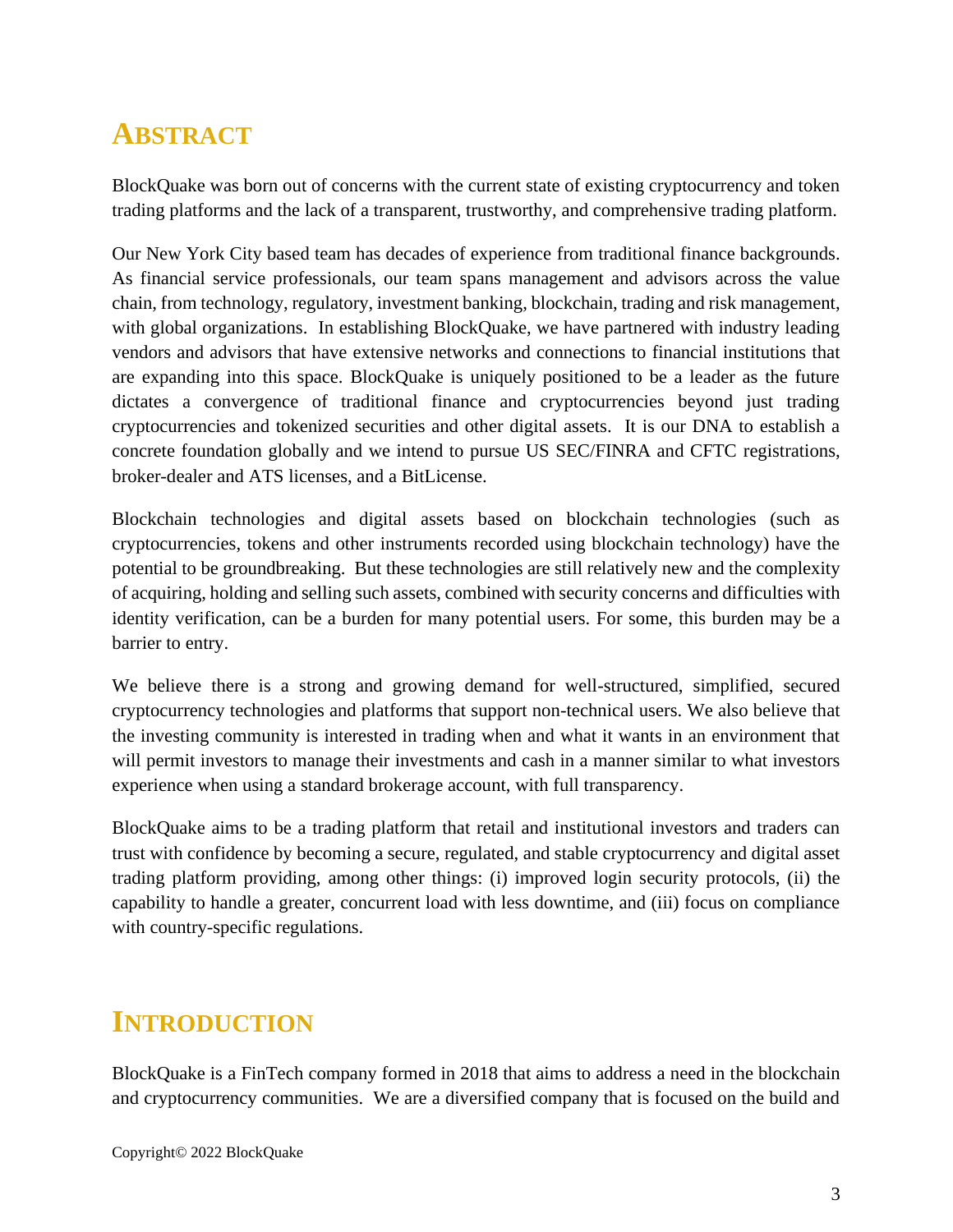# <span id="page-2-0"></span>**ABSTRACT**

BlockQuake was born out of concerns with the current state of existing cryptocurrency and token trading platforms and the lack of a transparent, trustworthy, and comprehensive trading platform.

Our New York City based team has decades of experience from traditional finance backgrounds. As financial service professionals, our team spans management and advisors across the value chain, from technology, regulatory, investment banking, blockchain, trading and risk management, with global organizations. In establishing BlockQuake, we have partnered with industry leading vendors and advisors that have extensive networks and connections to financial institutions that are expanding into this space. BlockQuake is uniquely positioned to be a leader as the future dictates a convergence of traditional finance and cryptocurrencies beyond just trading cryptocurrencies and tokenized securities and other digital assets. It is our DNA to establish a concrete foundation globally and we intend to pursue US SEC/FINRA and CFTC registrations, broker-dealer and ATS licenses, and a BitLicense.

Blockchain technologies and digital assets based on blockchain technologies (such as cryptocurrencies, tokens and other instruments recorded using blockchain technology) have the potential to be groundbreaking. But these technologies are still relatively new and the complexity of acquiring, holding and selling such assets, combined with security concerns and difficulties with identity verification, can be a burden for many potential users. For some, this burden may be a barrier to entry.

We believe there is a strong and growing demand for well-structured, simplified, secured cryptocurrency technologies and platforms that support non-technical users. We also believe that the investing community is interested in trading when and what it wants in an environment that will permit investors to manage their investments and cash in a manner similar to what investors experience when using a standard brokerage account, with full transparency.

BlockQuake aims to be a trading platform that retail and institutional investors and traders can trust with confidence by becoming a secure, regulated, and stable cryptocurrency and digital asset trading platform providing, among other things: (i) improved login security protocols, (ii) the capability to handle a greater, concurrent load with less downtime, and (iii) focus on compliance with country-specific regulations.

# <span id="page-2-1"></span>**INTRODUCTION**

BlockQuake is a FinTech company formed in 2018 that aims to address a need in the blockchain and cryptocurrency communities. We are a diversified company that is focused on the build and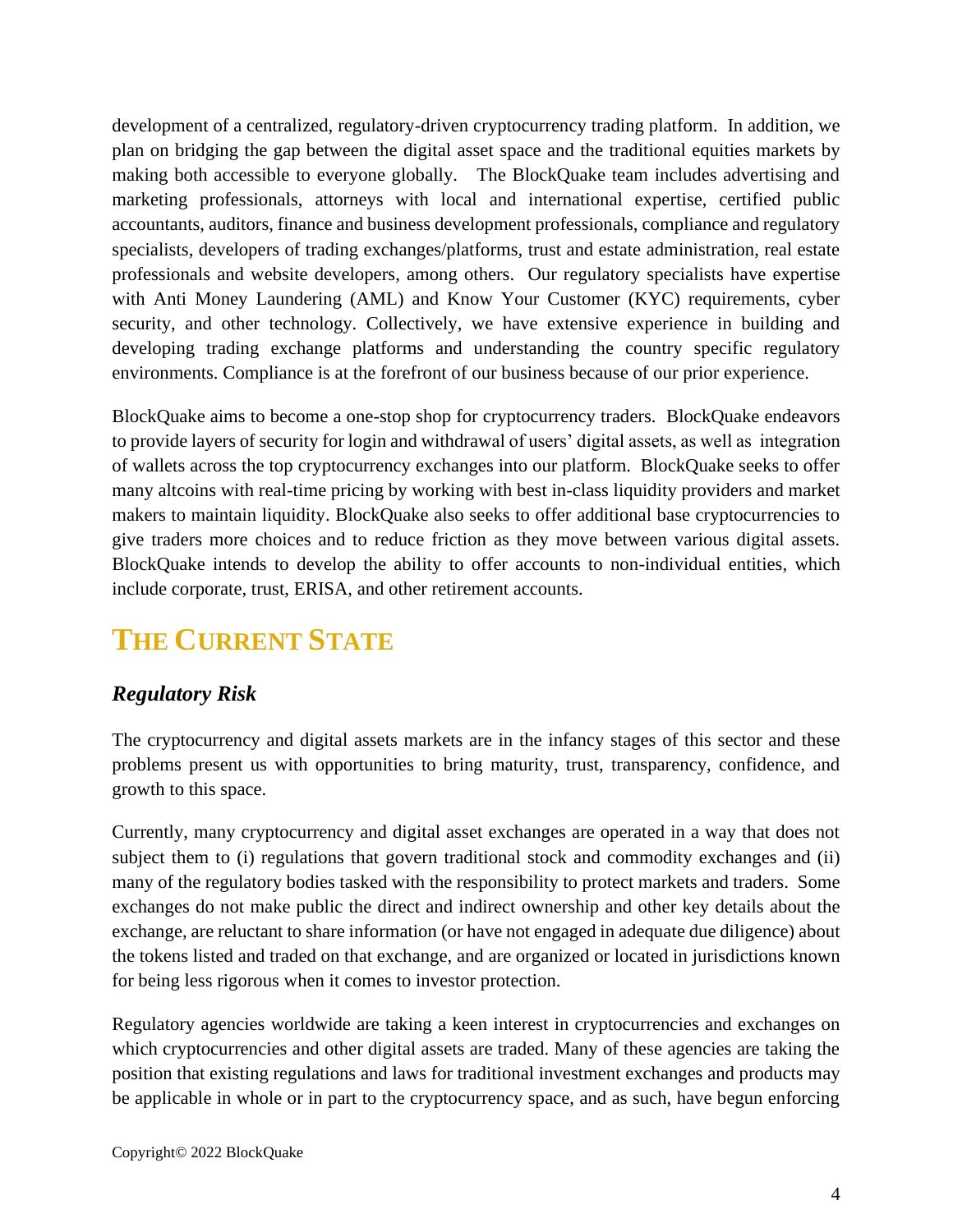development of a centralized, regulatory-driven cryptocurrency trading platform. In addition, we plan on bridging the gap between the digital asset space and the traditional equities markets by making both accessible to everyone globally. The BlockQuake team includes advertising and marketing professionals, attorneys with local and international expertise, certified public accountants, auditors, finance and business development professionals, compliance and regulatory specialists, developers of trading exchanges/platforms, trust and estate administration, real estate professionals and website developers, among others. Our regulatory specialists have expertise with Anti Money Laundering (AML) and Know Your Customer (KYC) requirements, cyber security, and other technology. Collectively, we have extensive experience in building and developing trading exchange platforms and understanding the country specific regulatory environments. Compliance is at the forefront of our business because of our prior experience.

BlockQuake aims to become a one-stop shop for cryptocurrency traders. BlockQuake endeavors to provide layers of security for login and withdrawal of users' digital assets, as well as integration of wallets across the top cryptocurrency exchanges into our platform. BlockQuake seeks to offer many altcoins with real-time pricing by working with best in-class liquidity providers and market makers to maintain liquidity. BlockQuake also seeks to offer additional base cryptocurrencies to give traders more choices and to reduce friction as they move between various digital assets. BlockQuake intends to develop the ability to offer accounts to non-individual entities, which include corporate, trust, ERISA, and other retirement accounts.

# <span id="page-3-0"></span>**THE CURRENT STATE**

### <span id="page-3-1"></span>*Regulatory Risk*

The cryptocurrency and digital assets markets are in the infancy stages of this sector and these problems present us with opportunities to bring maturity, trust, transparency, confidence, and growth to this space.

Currently, many cryptocurrency and digital asset exchanges are operated in a way that does not subject them to (i) regulations that govern traditional stock and commodity exchanges and (ii) many of the regulatory bodies tasked with the responsibility to protect markets and traders. Some exchanges do not make public the direct and indirect ownership and other key details about the exchange, are reluctant to share information (or have not engaged in adequate due diligence) about the tokens listed and traded on that exchange, and are organized or located in jurisdictions known for being less rigorous when it comes to investor protection.

Regulatory agencies worldwide are taking a keen interest in cryptocurrencies and exchanges on which cryptocurrencies and other digital assets are traded. Many of these agencies are taking the position that existing regulations and laws for traditional investment exchanges and products may be applicable in whole or in part to the cryptocurrency space, and as such, have begun enforcing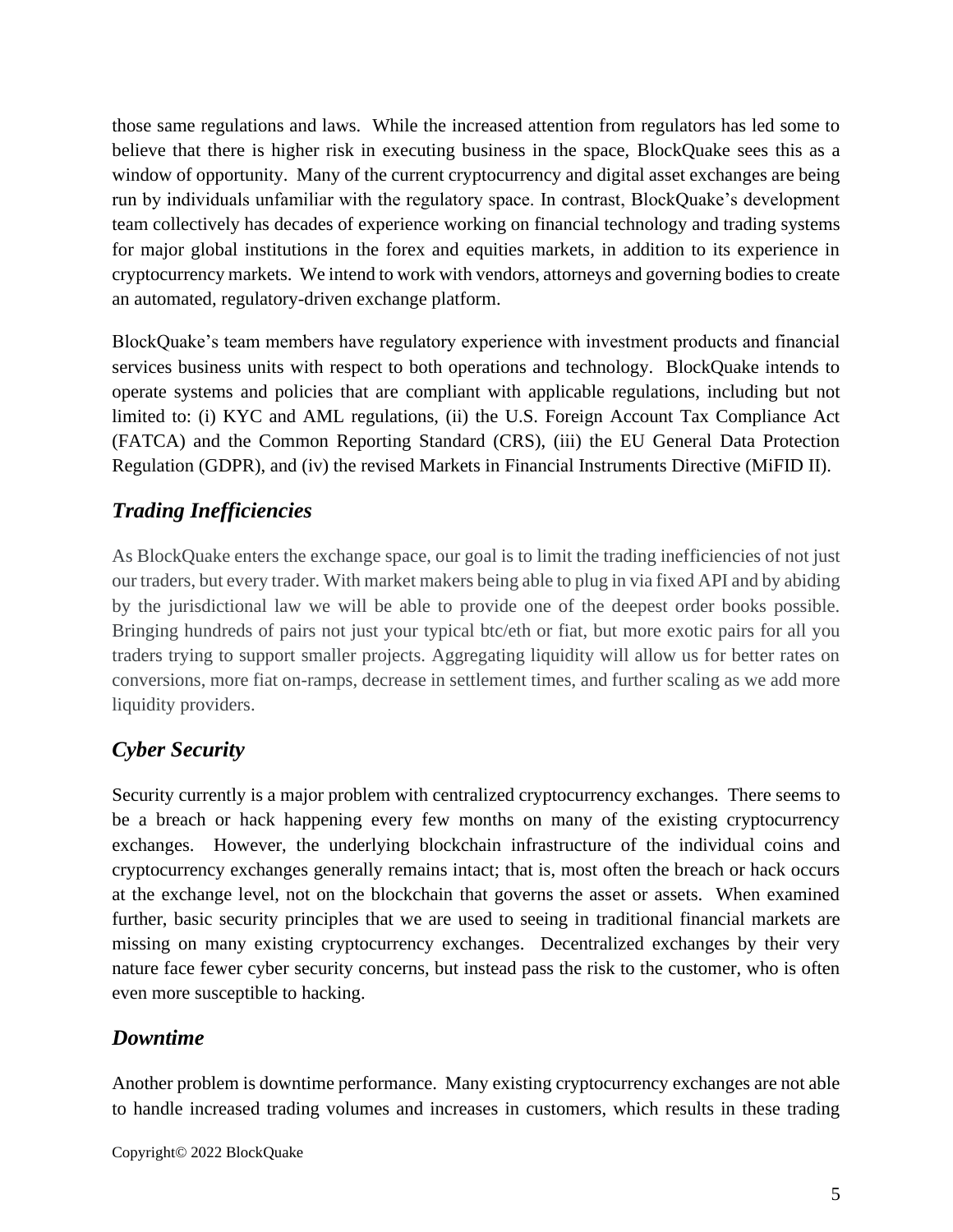those same regulations and laws. While the increased attention from regulators has led some to believe that there is higher risk in executing business in the space, BlockQuake sees this as a window of opportunity. Many of the current cryptocurrency and digital asset exchanges are being run by individuals unfamiliar with the regulatory space. In contrast, BlockQuake's development team collectively has decades of experience working on financial technology and trading systems for major global institutions in the forex and equities markets, in addition to its experience in cryptocurrency markets. We intend to work with vendors, attorneys and governing bodies to create an automated, regulatory-driven exchange platform.

BlockQuake's team members have regulatory experience with investment products and financial services business units with respect to both operations and technology. BlockQuake intends to operate systems and policies that are compliant with applicable regulations, including but not limited to: (i) KYC and AML regulations, (ii) the U.S. Foreign Account Tax Compliance Act (FATCA) and the Common Reporting Standard (CRS), (iii) the EU General Data Protection Regulation (GDPR), and (iv) the revised Markets in Financial Instruments Directive (MiFID II).

### <span id="page-4-0"></span>*Trading Inefficiencies*

As BlockQuake enters the exchange space, our goal is to limit the trading inefficiencies of not just our traders, but every trader. With market makers being able to plug in via fixed API and by abiding by the jurisdictional law we will be able to provide one of the deepest order books possible. Bringing hundreds of pairs not just your typical btc/eth or fiat, but more exotic pairs for all you traders trying to support smaller projects. Aggregating liquidity will allow us for better rates on conversions, more fiat on-ramps, decrease in settlement times, and further scaling as we add more liquidity providers.

### <span id="page-4-1"></span>*Cyber Security*

Security currently is a major problem with centralized cryptocurrency exchanges. There seems to be a breach or hack happening every few months on many of the existing cryptocurrency exchanges. However, the underlying blockchain infrastructure of the individual coins and cryptocurrency exchanges generally remains intact; that is, most often the breach or hack occurs at the exchange level, not on the blockchain that governs the asset or assets. When examined further, basic security principles that we are used to seeing in traditional financial markets are missing on many existing cryptocurrency exchanges. Decentralized exchanges by their very nature face fewer cyber security concerns, but instead pass the risk to the customer, who is often even more susceptible to hacking.

#### <span id="page-4-2"></span>*Downtime*

Another problem is downtime performance. Many existing cryptocurrency exchanges are not able to handle increased trading volumes and increases in customers, which results in these trading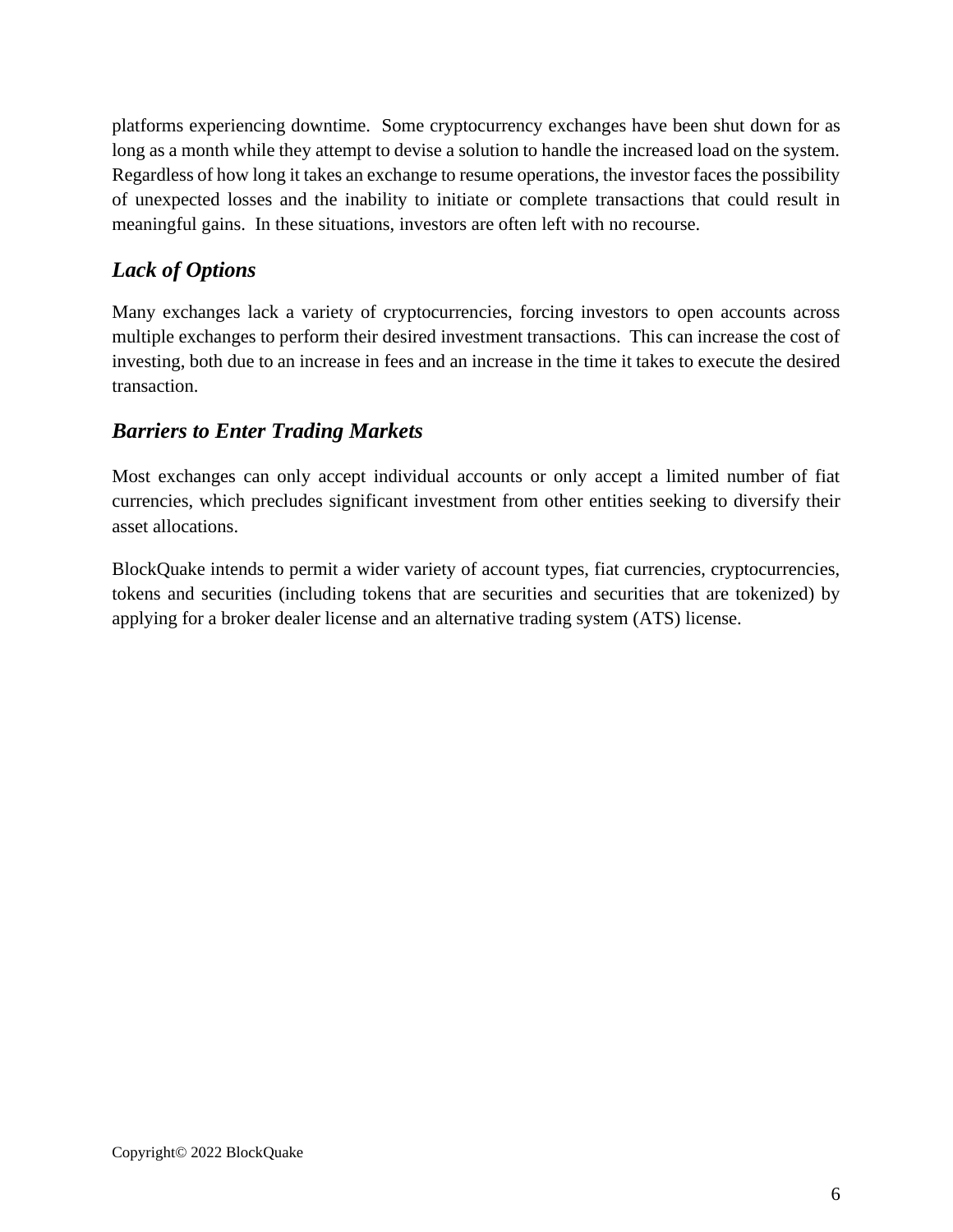platforms experiencing downtime. Some cryptocurrency exchanges have been shut down for as long as a month while they attempt to devise a solution to handle the increased load on the system. Regardless of how long it takes an exchange to resume operations, the investor faces the possibility of unexpected losses and the inability to initiate or complete transactions that could result in meaningful gains. In these situations, investors are often left with no recourse.

### <span id="page-5-0"></span>*Lack of Options*

Many exchanges lack a variety of cryptocurrencies, forcing investors to open accounts across multiple exchanges to perform their desired investment transactions. This can increase the cost of investing, both due to an increase in fees and an increase in the time it takes to execute the desired transaction.

### <span id="page-5-1"></span>*Barriers to Enter Trading Markets*

Most exchanges can only accept individual accounts or only accept a limited number of fiat currencies, which precludes significant investment from other entities seeking to diversify their asset allocations.

BlockQuake intends to permit a wider variety of account types, fiat currencies, cryptocurrencies, tokens and securities (including tokens that are securities and securities that are tokenized) by applying for a broker dealer license and an alternative trading system (ATS) license.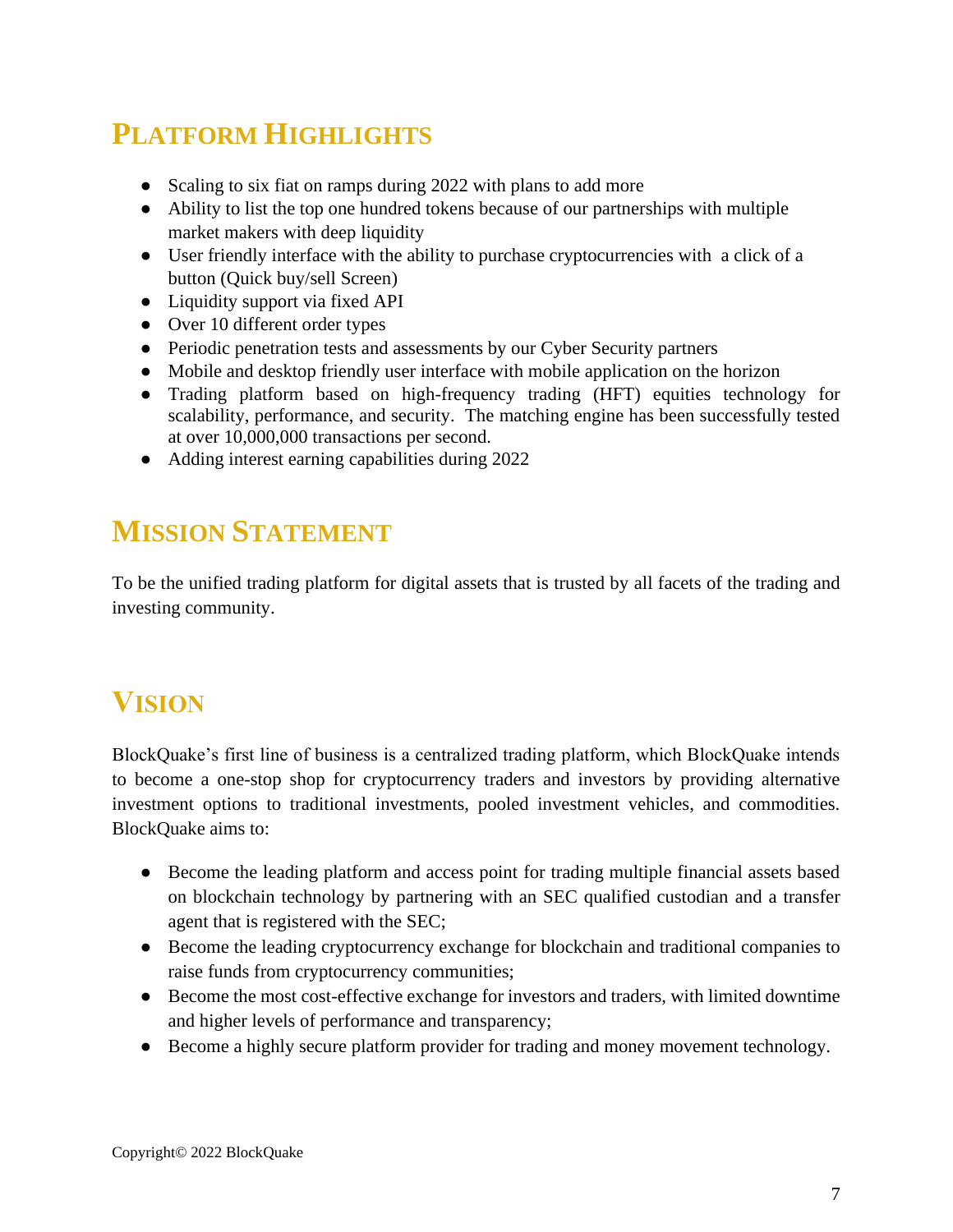# <span id="page-6-0"></span>**PLATFORM HIGHLIGHTS**

- Scaling to six fiat on ramps during 2022 with plans to add more
- Ability to list the top one hundred tokens because of our partnerships with multiple market makers with deep liquidity
- User friendly interface with the ability to purchase cryptocurrencies with a click of a button (Quick buy/sell Screen)
- Liquidity support via fixed API
- Over 10 different order types
- Periodic penetration tests and assessments by our Cyber Security partners
- Mobile and desktop friendly user interface with mobile application on the horizon
- Trading platform based on high-frequency trading (HFT) equities technology for scalability, performance, and security. The matching engine has been successfully tested at over 10,000,000 transactions per second.
- Adding interest earning capabilities during 2022

# <span id="page-6-1"></span>**MISSION STATEMENT**

To be the unified trading platform for digital assets that is trusted by all facets of the trading and investing community.

### <span id="page-6-2"></span>**VISION**

BlockQuake's first line of business is a centralized trading platform, which BlockQuake intends to become a one-stop shop for cryptocurrency traders and investors by providing alternative investment options to traditional investments, pooled investment vehicles, and commodities. BlockQuake aims to:

- Become the leading platform and access point for trading multiple financial assets based on blockchain technology by partnering with an SEC qualified custodian and a transfer agent that is registered with the SEC;
- Become the leading cryptocurrency exchange for blockchain and traditional companies to raise funds from cryptocurrency communities;
- Become the most cost-effective exchange for investors and traders, with limited downtime and higher levels of performance and transparency;
- Become a highly secure platform provider for trading and money movement technology.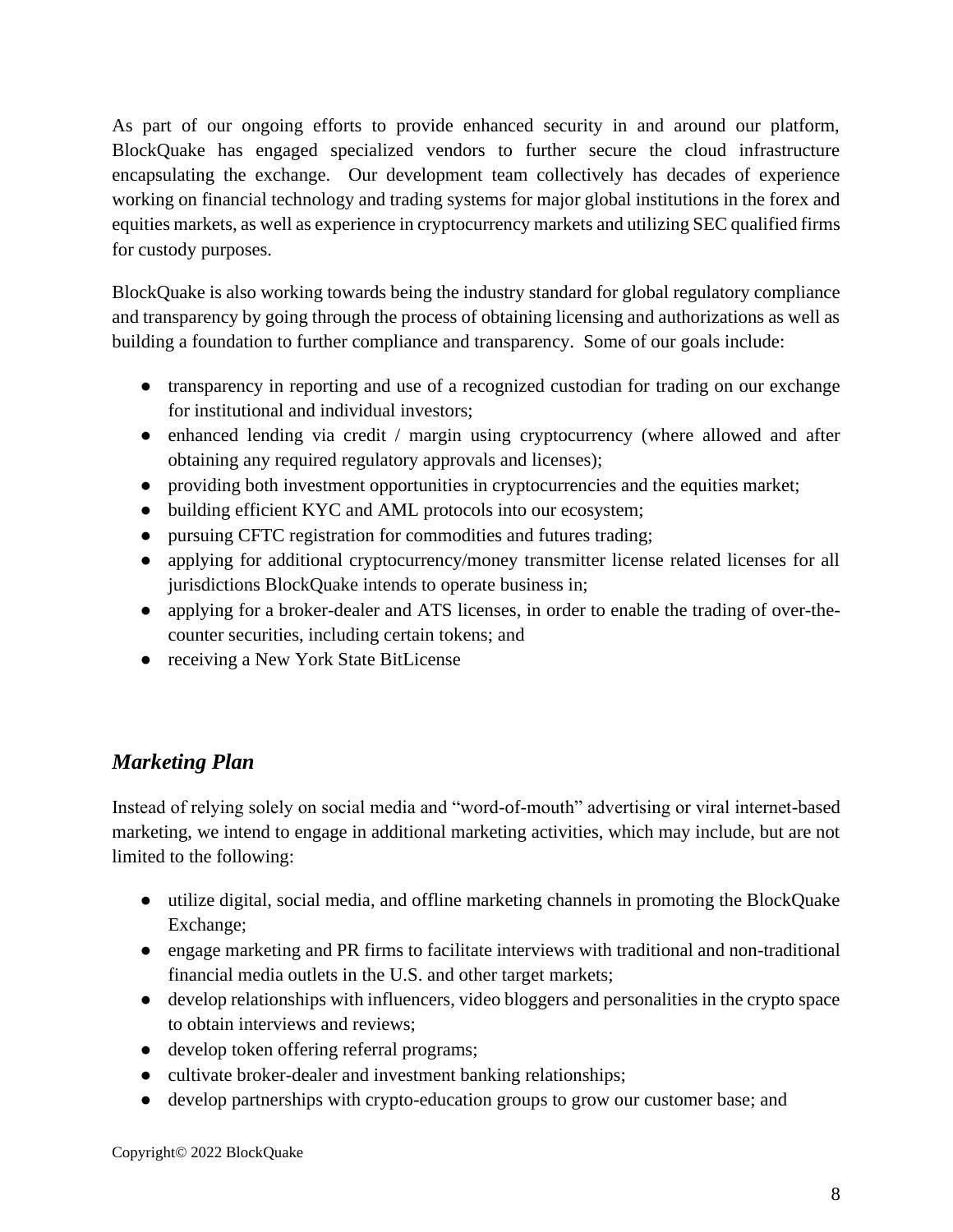As part of our ongoing efforts to provide enhanced security in and around our platform, BlockQuake has engaged specialized vendors to further secure the cloud infrastructure encapsulating the exchange. Our development team collectively has decades of experience working on financial technology and trading systems for major global institutions in the forex and equities markets, as well as experience in cryptocurrency markets and utilizing SEC qualified firms for custody purposes.

BlockQuake is also working towards being the industry standard for global regulatory compliance and transparency by going through the process of obtaining licensing and authorizations as well as building a foundation to further compliance and transparency. Some of our goals include:

- transparency in reporting and use of a recognized custodian for trading on our exchange for institutional and individual investors;
- enhanced lending via credit / margin using cryptocurrency (where allowed and after obtaining any required regulatory approvals and licenses);
- providing both investment opportunities in cryptocurrencies and the equities market;
- building efficient KYC and AML protocols into our ecosystem;
- pursuing CFTC registration for commodities and futures trading;
- applying for additional cryptocurrency/money transmitter license related licenses for all jurisdictions BlockQuake intends to operate business in;
- applying for a broker-dealer and ATS licenses, in order to enable the trading of over-thecounter securities, including certain tokens; and
- receiving a New York State BitLicense

### <span id="page-7-0"></span>*Marketing Plan*

Instead of relying solely on social media and "word-of-mouth" advertising or viral internet-based marketing, we intend to engage in additional marketing activities, which may include, but are not limited to the following:

- utilize digital, social media, and offline marketing channels in promoting the BlockQuake Exchange;
- engage marketing and PR firms to facilitate interviews with traditional and non-traditional financial media outlets in the U.S. and other target markets;
- develop relationships with influencers, video bloggers and personalities in the crypto space to obtain interviews and reviews;
- develop token offering referral programs;
- cultivate broker-dealer and investment banking relationships;
- develop partnerships with crypto-education groups to grow our customer base; and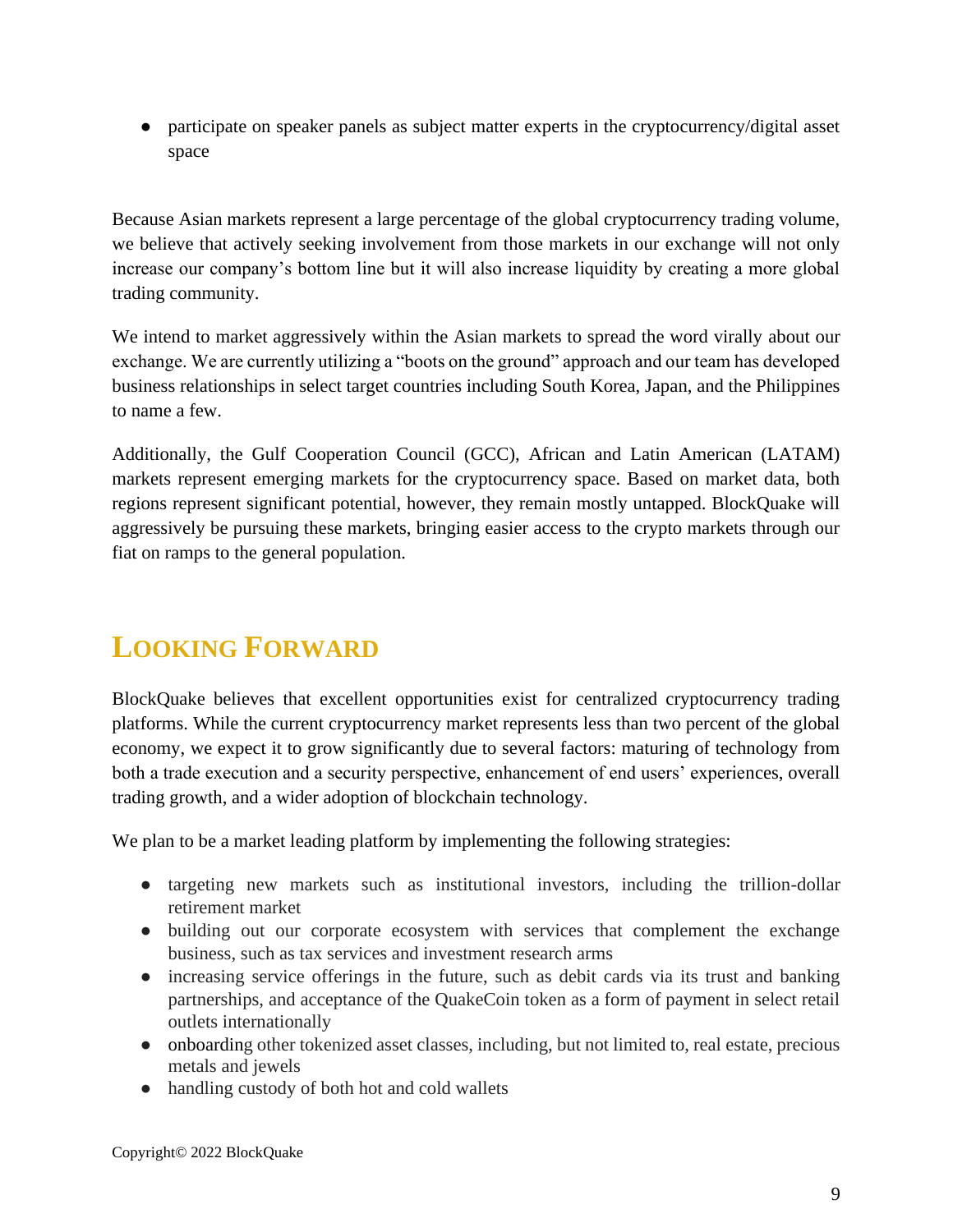• participate on speaker panels as subject matter experts in the cryptocurrency/digital asset space

Because Asian markets represent a large percentage of the global cryptocurrency trading volume, we believe that actively seeking involvement from those markets in our exchange will not only increase our company's bottom line but it will also increase liquidity by creating a more global trading community.

We intend to market aggressively within the Asian markets to spread the word virally about our exchange. We are currently utilizing a "boots on the ground" approach and our team has developed business relationships in select target countries including South Korea, Japan, and the Philippines to name a few.

Additionally, the Gulf Cooperation Council (GCC), African and Latin American (LATAM) markets represent emerging markets for the cryptocurrency space. Based on market data, both regions represent significant potential, however, they remain mostly untapped. BlockQuake will aggressively be pursuing these markets, bringing easier access to the crypto markets through our fiat on ramps to the general population.

# <span id="page-8-0"></span>**LOOKING FORWARD**

BlockQuake believes that excellent opportunities exist for centralized cryptocurrency trading platforms. While the current cryptocurrency market represents less than two percent of the global economy, we expect it to grow significantly due to several factors: maturing of technology from both a trade execution and a security perspective, enhancement of end users' experiences, overall trading growth, and a wider adoption of blockchain technology.

We plan to be a market leading platform by implementing the following strategies:

- targeting new markets such as institutional investors, including the trillion-dollar retirement market
- building out our corporate ecosystem with services that complement the exchange business, such as tax services and investment research arms
- increasing service offerings in the future, such as debit cards via its trust and banking partnerships, and acceptance of the QuakeCoin token as a form of payment in select retail outlets internationally
- onboarding other tokenized asset classes, including, but not limited to, real estate, precious metals and jewels
- handling custody of both hot and cold wallets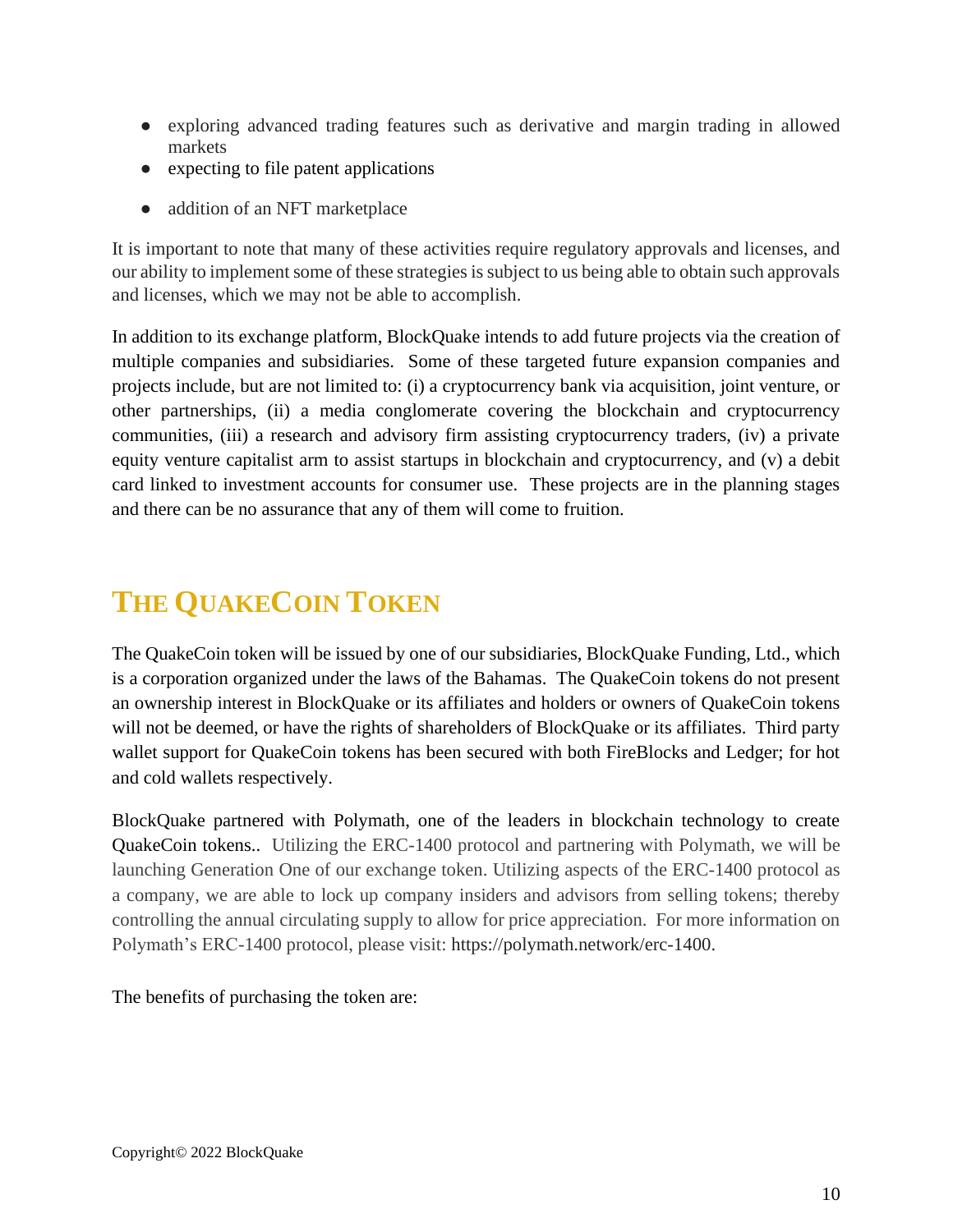- exploring advanced trading features such as derivative and margin trading in allowed markets
- expecting to file patent applications
- addition of an NFT marketplace

It is important to note that many of these activities require regulatory approvals and licenses, and our ability to implement some of these strategies is subject to us being able to obtain such approvals and licenses, which we may not be able to accomplish.

In addition to its exchange platform, BlockQuake intends to add future projects via the creation of multiple companies and subsidiaries. Some of these targeted future expansion companies and projects include, but are not limited to: (i) a cryptocurrency bank via acquisition, joint venture, or other partnerships, (ii) a media conglomerate covering the blockchain and cryptocurrency communities, (iii) a research and advisory firm assisting cryptocurrency traders, (iv) a private equity venture capitalist arm to assist startups in blockchain and cryptocurrency, and (v) a debit card linked to investment accounts for consumer use. These projects are in the planning stages and there can be no assurance that any of them will come to fruition.

# <span id="page-9-0"></span>**THE QUAKECOIN TOKEN**

The QuakeCoin token will be issued by one of our subsidiaries, BlockQuake Funding, Ltd., which is a corporation organized under the laws of the Bahamas. The QuakeCoin tokens do not present an ownership interest in BlockQuake or its affiliates and holders or owners of QuakeCoin tokens will not be deemed, or have the rights of shareholders of BlockQuake or its affiliates. Third party wallet support for QuakeCoin tokens has been secured with both FireBlocks and Ledger; for hot and cold wallets respectively.

BlockQuake partnered with Polymath, one of the leaders in blockchain technology to create QuakeCoin tokens.. Utilizing the ERC-1400 protocol and partnering with Polymath, we will be launching Generation One of our exchange token. Utilizing aspects of the ERC-1400 protocol as a company, we are able to lock up company insiders and advisors from selling tokens; thereby controlling the annual circulating supply to allow for price appreciation. For more information on Polymath's ERC-1400 protocol, please visit: [https://polymath.network/erc-1400.](https://polymath.network/erc-1400)

The benefits of purchasing the token are: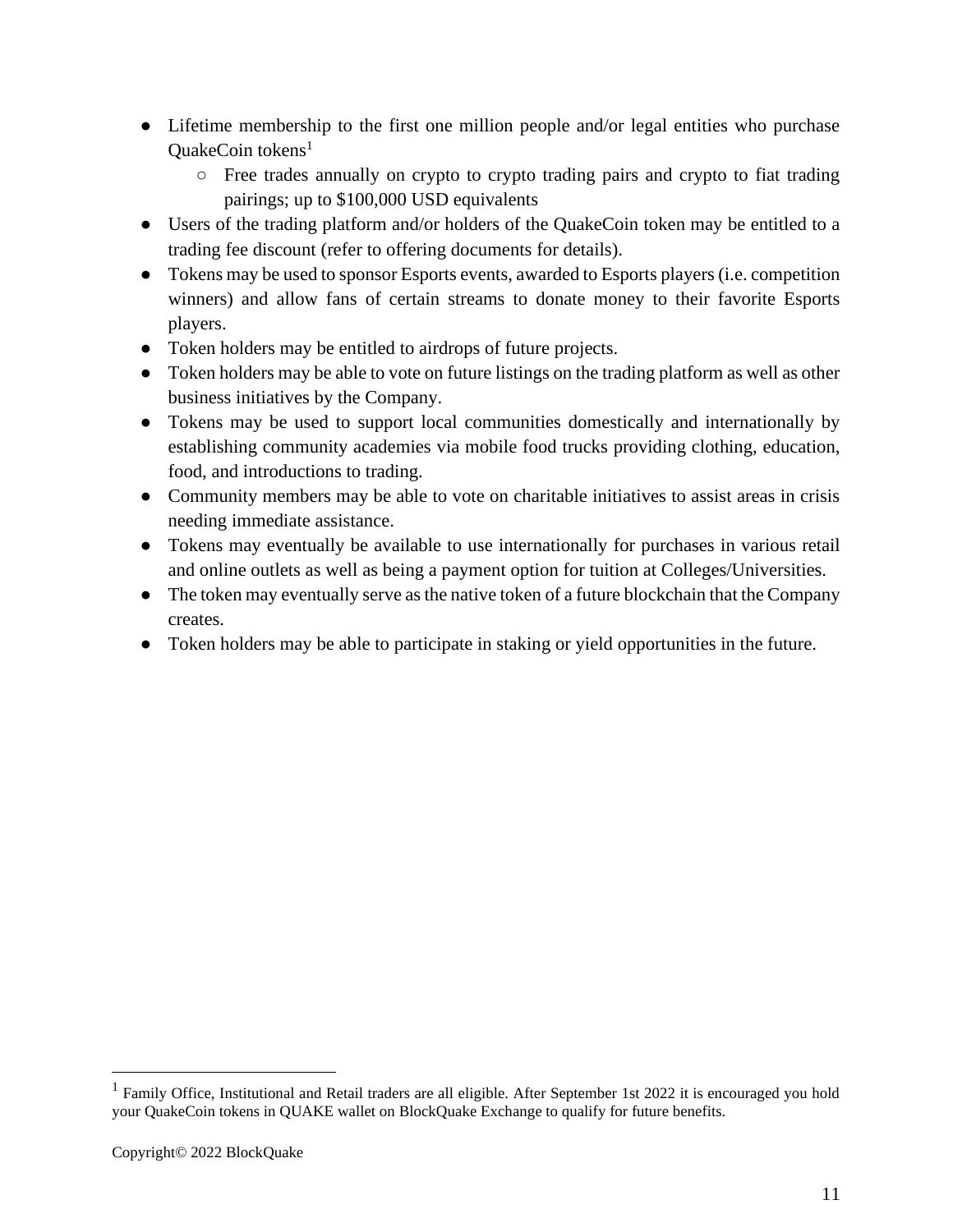- Lifetime membership to the first one million people and/or legal entities who purchase OuakeCoin tokens $<sup>1</sup>$ </sup>
	- Free trades annually on crypto to crypto trading pairs and crypto to fiat trading pairings; up to \$100,000 USD equivalents
- Users of the trading platform and/or holders of the QuakeCoin token may be entitled to a trading fee discount (refer to offering documents for details).
- Tokens may be used to sponsor Esports events, awarded to Esports players (i.e. competition winners) and allow fans of certain streams to donate money to their favorite Esports players.
- Token holders may be entitled to airdrops of future projects.
- Token holders may be able to vote on future listings on the trading platform as well as other business initiatives by the Company.
- Tokens may be used to support local communities domestically and internationally by establishing community academies via mobile food trucks providing clothing, education, food, and introductions to trading.
- Community members may be able to vote on charitable initiatives to assist areas in crisis needing immediate assistance.
- Tokens may eventually be available to use internationally for purchases in various retail and online outlets as well as being a payment option for tuition at Colleges/Universities.
- The token may eventually serve as the native token of a future blockchain that the Company creates.
- Token holders may be able to participate in staking or yield opportunities in the future.

<sup>&</sup>lt;sup>1</sup> Family Office, Institutional and Retail traders are all eligible. After September 1st 2022 it is encouraged you hold your QuakeCoin tokens in QUAKE wallet on BlockQuake Exchange to qualify for future benefits.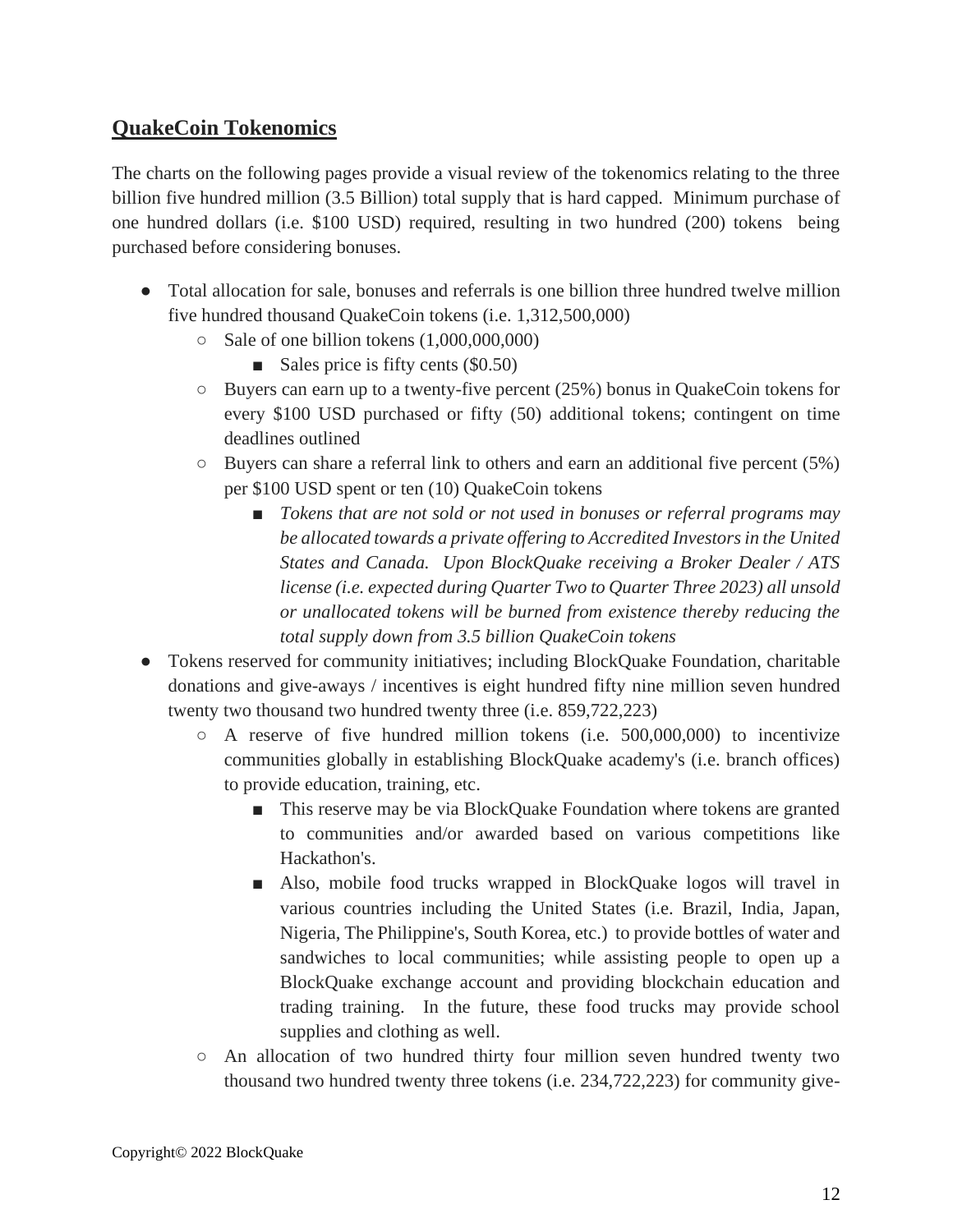### **QuakeCoin Tokenomics**

The charts on the following pages provide a visual review of the tokenomics relating to the three billion five hundred million (3.5 Billion) total supply that is hard capped. Minimum purchase of one hundred dollars (i.e. \$100 USD) required, resulting in two hundred (200) tokens being purchased before considering bonuses.

- Total allocation for sale, bonuses and referrals is one billion three hundred twelve million five hundred thousand QuakeCoin tokens (i.e. 1,312,500,000)
	- $\circ$  Sale of one billion tokens  $(1,000,000,000)$ 
		- Sales price is fifty cents  $(\$0.50)$
	- $\circ$  Buyers can earn up to a twenty-five percent (25%) bonus in QuakeCoin tokens for every \$100 USD purchased or fifty (50) additional tokens; contingent on time deadlines outlined
	- $\circ$  Buyers can share a referral link to others and earn an additional five percent (5%) per \$100 USD spent or ten (10) QuakeCoin tokens
		- *Tokens that are not sold or not used in bonuses or referral programs may be allocated towards a private offering to Accredited Investors in the United States and Canada. Upon BlockQuake receiving a Broker Dealer / ATS license (i.e. expected during Quarter Two to Quarter Three 2023) all unsold or unallocated tokens will be burned from existence thereby reducing the total supply down from 3.5 billion QuakeCoin tokens*
- Tokens reserved for community initiatives; including BlockQuake Foundation, charitable donations and give-aways / incentives is eight hundred fifty nine million seven hundred twenty two thousand two hundred twenty three (i.e. 859,722,223)
	- A reserve of five hundred million tokens (i.e. 500,000,000) to incentivize communities globally in establishing BlockQuake academy's (i.e. branch offices) to provide education, training, etc.
		- This reserve may be via BlockQuake Foundation where tokens are granted to communities and/or awarded based on various competitions like Hackathon's.
		- Also, mobile food trucks wrapped in BlockQuake logos will travel in various countries including the United States (i.e. Brazil, India, Japan, Nigeria, The Philippine's, South Korea, etc.) to provide bottles of water and sandwiches to local communities; while assisting people to open up a BlockQuake exchange account and providing blockchain education and trading training. In the future, these food trucks may provide school supplies and clothing as well.
	- An allocation of two hundred thirty four million seven hundred twenty two thousand two hundred twenty three tokens (i.e. 234,722,223) for community give-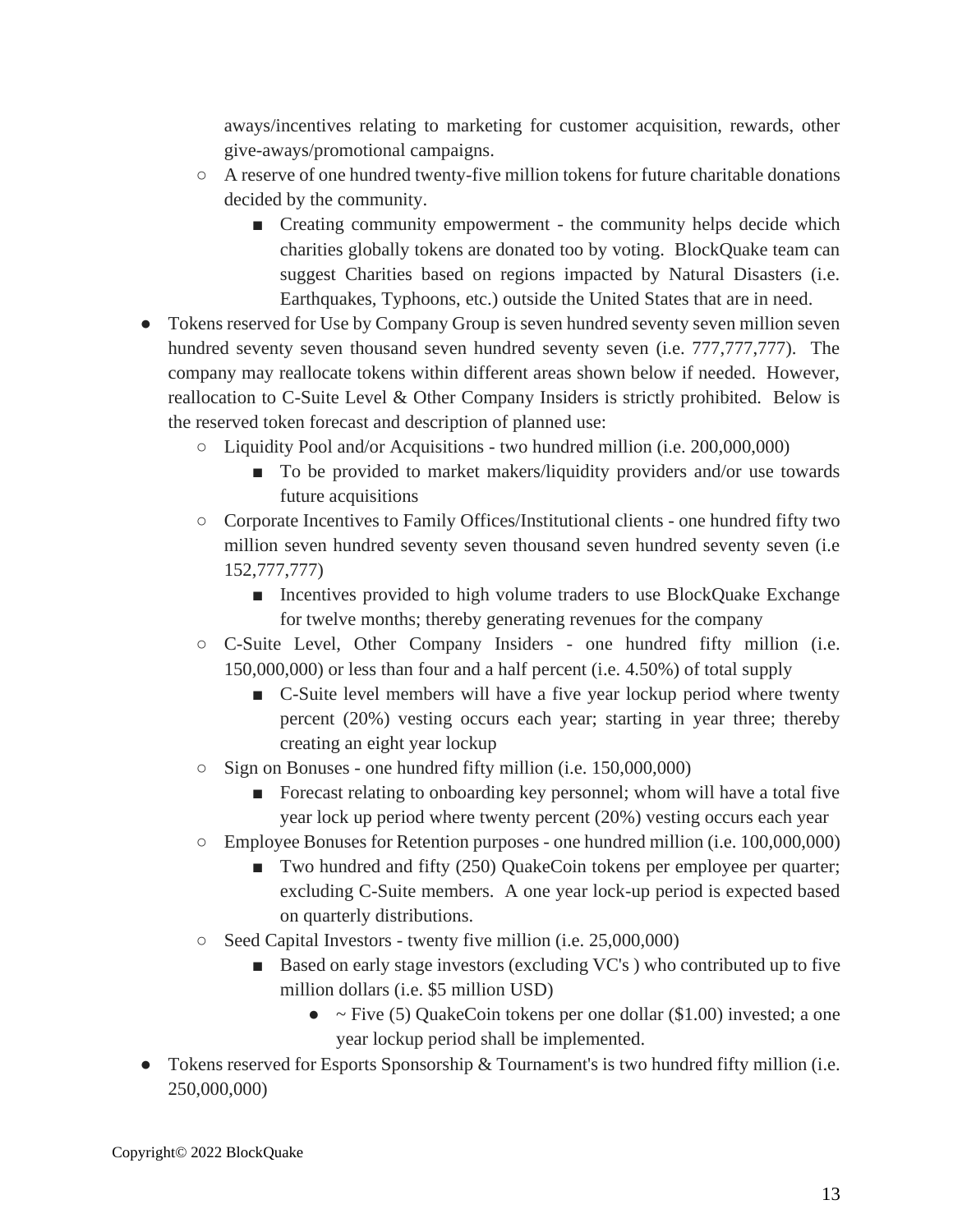aways/incentives relating to marketing for customer acquisition, rewards, other give-aways/promotional campaigns.

- $\circ$  A reserve of one hundred twenty-five million tokens for future charitable donations decided by the community.
	- Creating community empowerment the community helps decide which charities globally tokens are donated too by voting. BlockQuake team can suggest Charities based on regions impacted by Natural Disasters (i.e. Earthquakes, Typhoons, etc.) outside the United States that are in need.
- Tokens reserved for Use by Company Group is seven hundred seventy seven million seven hundred seventy seven thousand seven hundred seventy seven (i.e. 777,777,777). The company may reallocate tokens within different areas shown below if needed. However, reallocation to C-Suite Level & Other Company Insiders is strictly prohibited. Below is the reserved token forecast and description of planned use:
	- Liquidity Pool and/or Acquisitions two hundred million (i.e. 200,000,000)
		- To be provided to market makers/liquidity providers and/or use towards future acquisitions
	- Corporate Incentives to Family Offices/Institutional clients one hundred fifty two million seven hundred seventy seven thousand seven hundred seventy seven (i.e 152,777,777)
		- Incentives provided to high volume traders to use BlockQuake Exchange for twelve months; thereby generating revenues for the company
	- C-Suite Level, Other Company Insiders one hundred fifty million (i.e. 150,000,000) or less than four and a half percent (i.e. 4.50%) of total supply
		- C-Suite level members will have a five year lockup period where twenty percent (20%) vesting occurs each year; starting in year three; thereby creating an eight year lockup
	- Sign on Bonuses one hundred fifty million (i.e. 150,000,000)
		- Forecast relating to onboarding key personnel; whom will have a total five year lock up period where twenty percent (20%) vesting occurs each year
	- Employee Bonuses for Retention purposes one hundred million (i.e. 100,000,000)
		- Two hundred and fifty (250) QuakeCoin tokens per employee per quarter; excluding C-Suite members. A one year lock-up period is expected based on quarterly distributions.
	- Seed Capital Investors twenty five million (i.e. 25,000,000)
		- Based on early stage investors (excluding VC's) who contributed up to five million dollars (i.e. \$5 million USD)
			- $\sim$  Five (5) QuakeCoin tokens per one dollar (\$1.00) invested; a one year lockup period shall be implemented.
- Tokens reserved for Esports Sponsorship & Tournament's is two hundred fifty million (i.e. 250,000,000)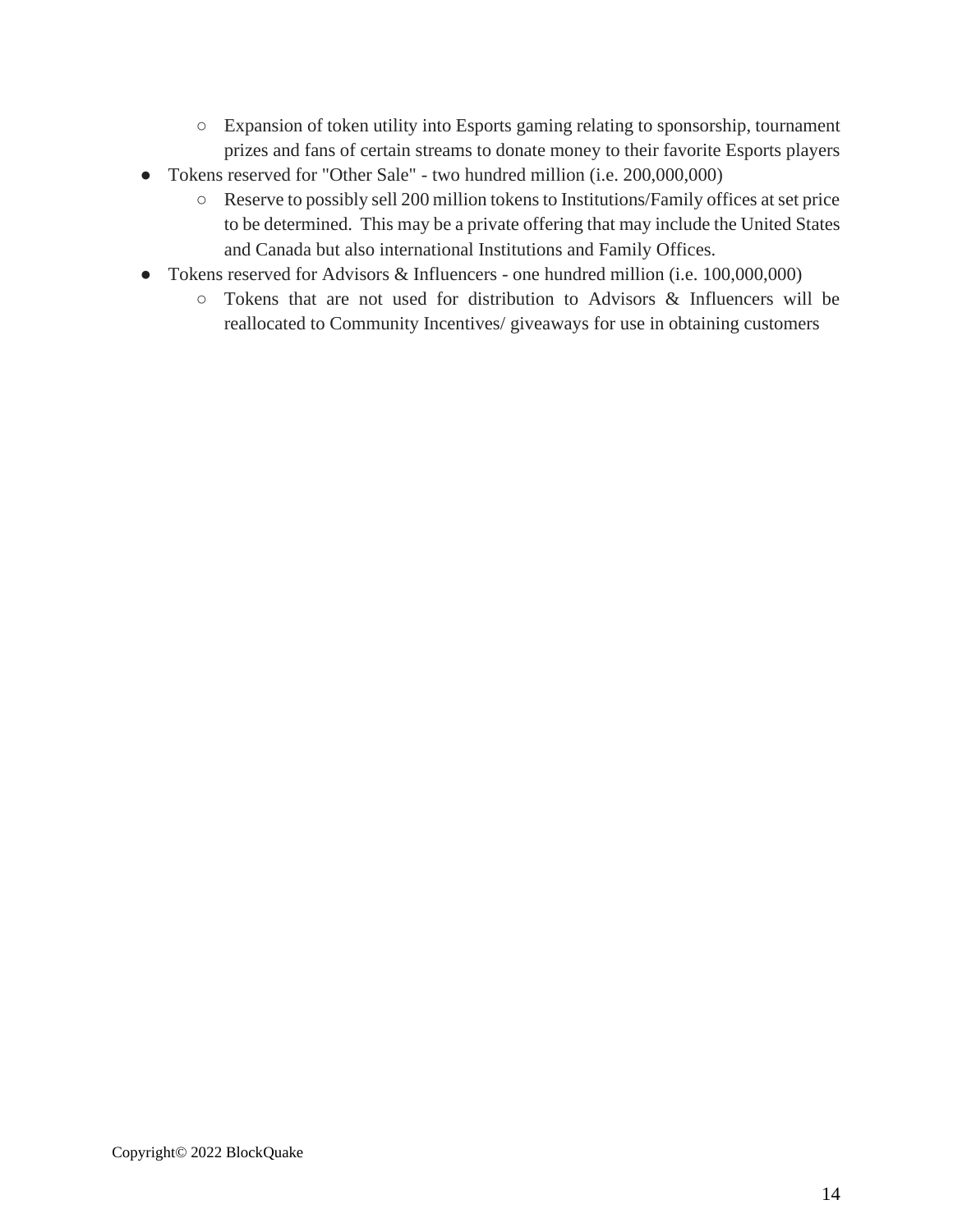- Expansion of token utility into Esports gaming relating to sponsorship, tournament prizes and fans of certain streams to donate money to their favorite Esports players
- Tokens reserved for "Other Sale" two hundred million (i.e. 200,000,000)
	- Reserve to possibly sell 200 million tokens to Institutions/Family offices at set price to be determined. This may be a private offering that may include the United States and Canada but also international Institutions and Family Offices.
- Tokens reserved for Advisors & Influencers one hundred million (i.e. 100,000,000)
	- Tokens that are not used for distribution to Advisors & Influencers will be reallocated to Community Incentives/ giveaways for use in obtaining customers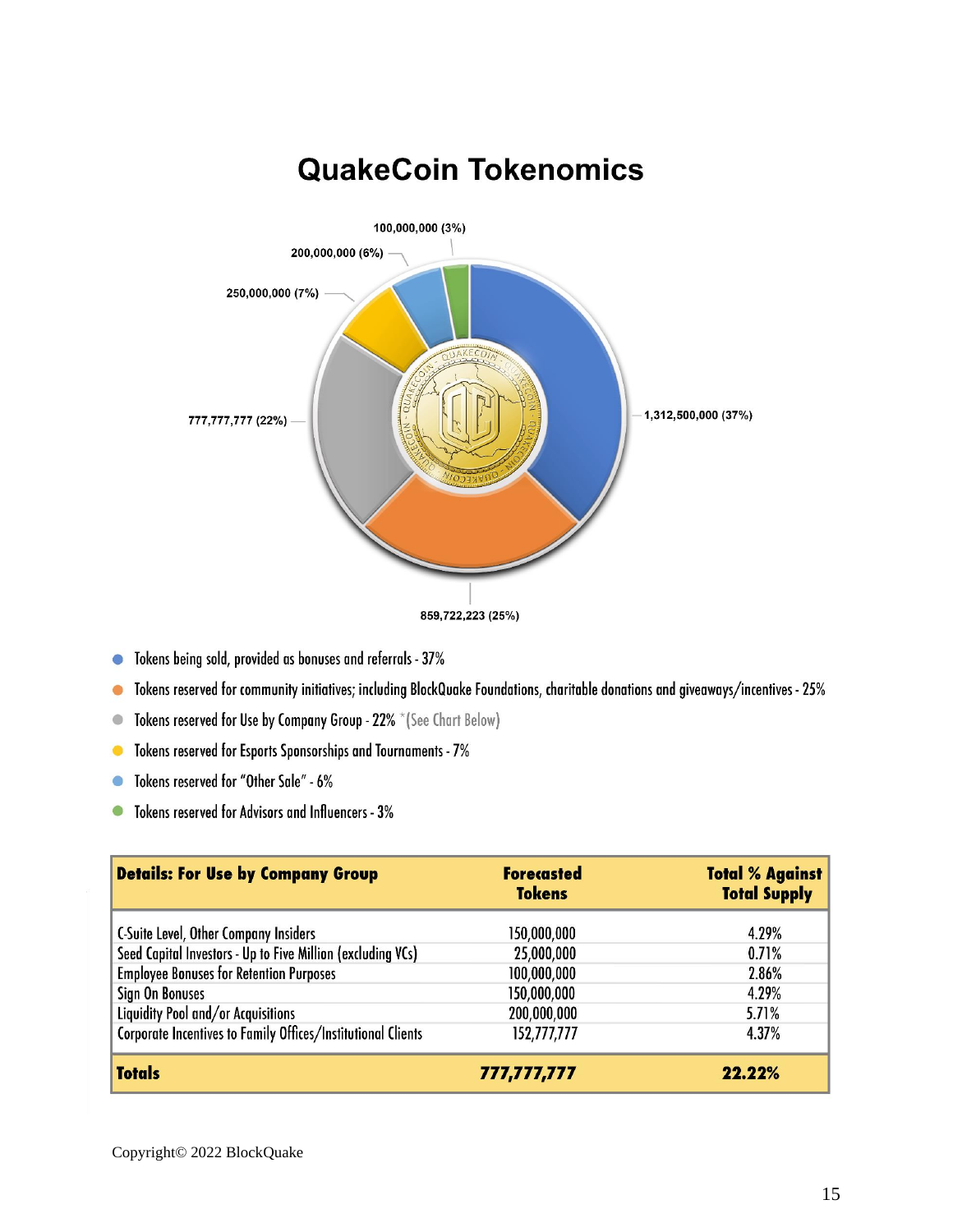

**QuakeCoin Tokenomics** 

- Tokens being sold, provided as bonuses and referrals 37%  $\bullet$
- Tokens reserved for community initiatives; including BlockQuake Foundations, charitable donations and giveaways/incentives 25%  $\bullet$
- Tokens reserved for Use by Company Group 22% \* (See Chart Below)  $\bullet$
- Tokens reserved for Esports Sponsorships and Tournaments 7%  $\bullet$
- Tokens reserved for "Other Sale" 6%  $\bigcirc$
- Tokens reserved for Advisors and Influencers 3%  $\bullet$

| <b>Details: For Use by Company Group</b>                     | <b>Forecasted</b><br><b>Tokens</b> | <b>Total % Against</b><br><b>Total Supply</b> |
|--------------------------------------------------------------|------------------------------------|-----------------------------------------------|
| <b>C-Suite Level, Other Company Insiders</b>                 | 150,000,000                        | 4.29%                                         |
| Seed Capital Investors - Up to Five Million (excluding VCs)  | 25,000,000                         | 0.71%                                         |
| <b>Employee Bonuses for Retention Purposes</b>               | 100,000,000                        | 2.86%                                         |
| Sign On Bonuses                                              | 150,000,000                        | 4.29%                                         |
| Liquidity Pool and/or Acquisitions                           | 200,000,000                        | 5.71%                                         |
| Corporate Incentives to Family Offices/Institutional Clients | 152,777,777                        | 4.37%                                         |
| <b>Totals</b>                                                | 777,777,777                        | $22.22\%$                                     |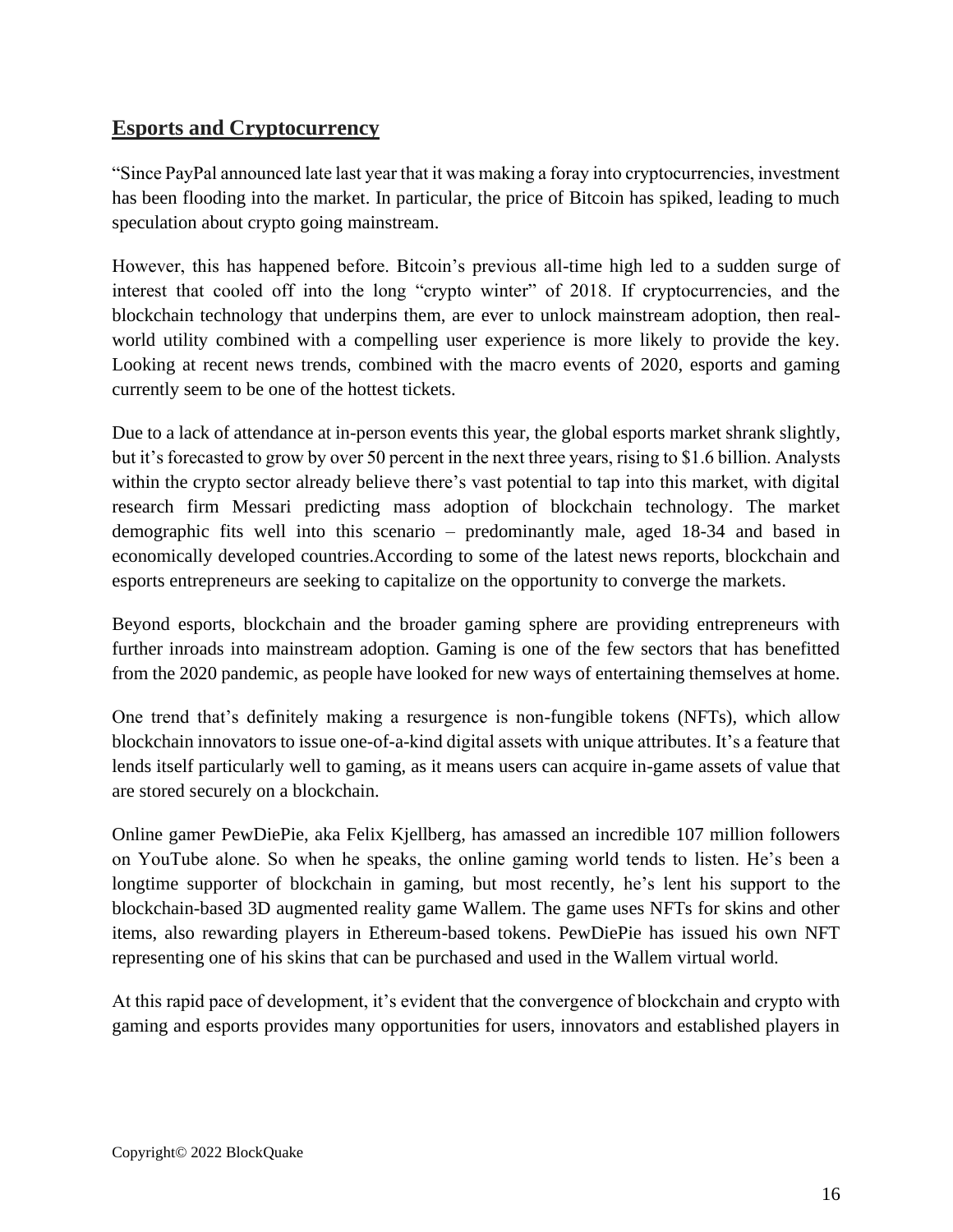### **Esports and Cryptocurrency**

"Since PayPal announced late last year that it was making a foray into cryptocurrencies, investment has been flooding into the market. In particular, the price of Bitcoin has spiked, leading to much speculation about crypto going mainstream.

However, this has happened before. Bitcoin's previous all-time high led to a sudden surge of interest that cooled off into the long "crypto winter" of 2018. If cryptocurrencies, and the blockchain technology that underpins them, are ever to unlock mainstream adoption, then realworld utility combined with a compelling user experience is more likely to provide the key. Looking at recent news trends, combined with the macro events of 2020, esports and gaming currently seem to be one of the hottest tickets.

Due to a lack of attendance at in-person events this year, the global esports market shrank slightly, but it's forecasted to grow by over 50 percent in the next three years, rising to \$1.6 billion. Analysts within the crypto sector already believe there's vast potential to tap into this market, with digital research firm Messari predicting mass adoption of blockchain technology. The market demographic fits well into this scenario – predominantly male, aged 18-34 and based in economically developed countries.According to some of the latest news reports, blockchain and esports entrepreneurs are seeking to capitalize on the opportunity to converge the markets.

Beyond esports, blockchain and the broader gaming sphere are providing entrepreneurs with further inroads into mainstream adoption. Gaming is one of the few sectors that has benefitted from the 2020 pandemic, as people have looked for new ways of entertaining themselves at home.

One trend that's definitely making a resurgence is non-fungible tokens (NFTs), which allow blockchain innovators to issue one-of-a-kind digital assets with unique attributes. It's a feature that lends itself particularly well to gaming, as it means users can acquire in-game assets of value that are stored securely on a blockchain.

Online gamer PewDiePie, aka Felix Kjellberg, has amassed an incredible 107 million followers on YouTube alone. So when he speaks, the online gaming world tends to listen. He's been a longtime supporter of blockchain in gaming, but most recently, he's lent his support to the blockchain-based 3D augmented reality game Wallem. The game uses NFTs for skins and other items, also rewarding players in Ethereum-based tokens. PewDiePie has issued his own NFT representing one of his skins that can be purchased and used in the Wallem virtual world.

At this rapid pace of development, it's evident that the convergence of blockchain and crypto with gaming and esports provides many opportunities for users, innovators and established players in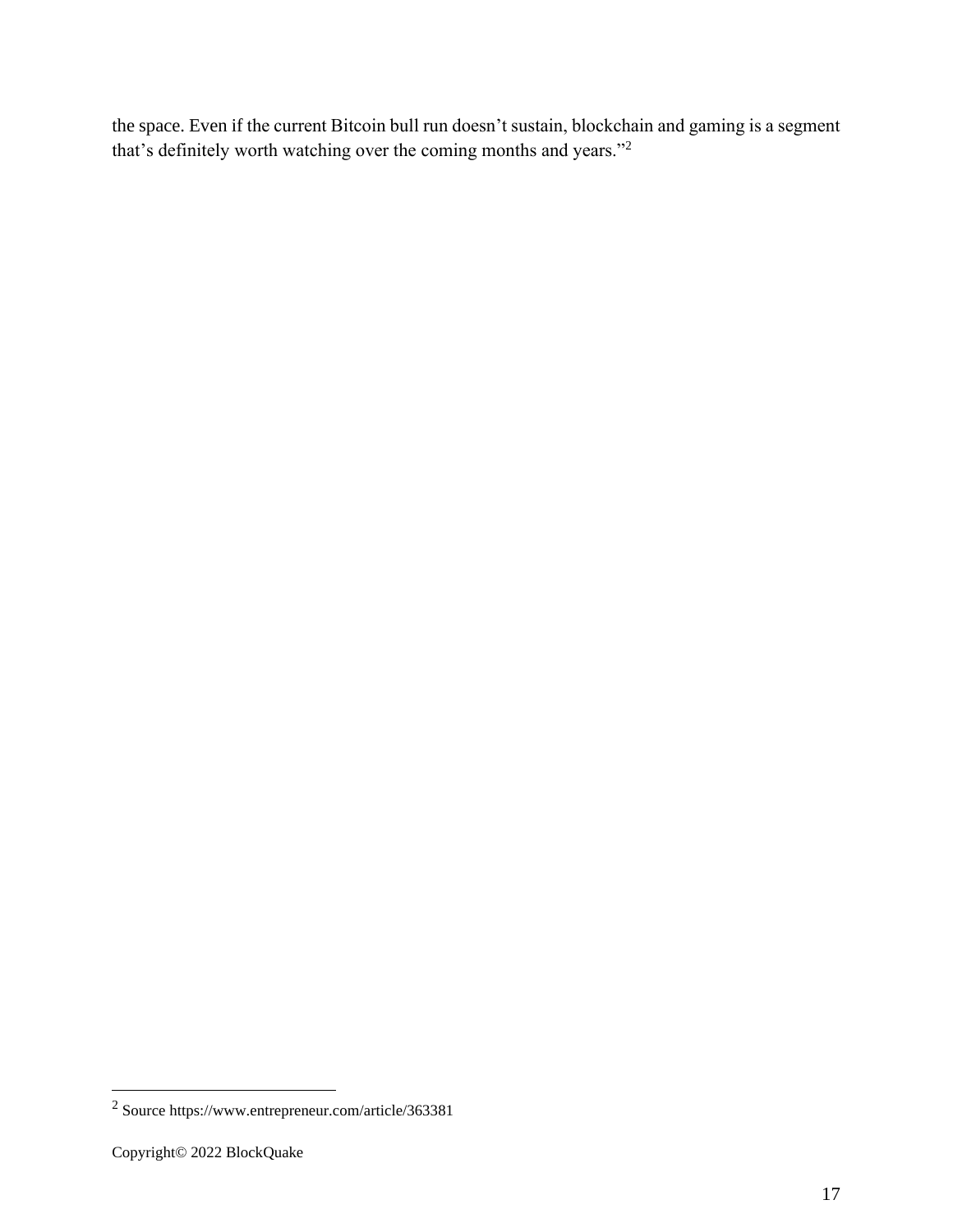the space. Even if the current Bitcoin bull run doesn't sustain, blockchain and gaming is a segment that's definitely worth watching over the coming months and years."<sup>2</sup>

<sup>2</sup> Source https://www.entrepreneur.com/article/363381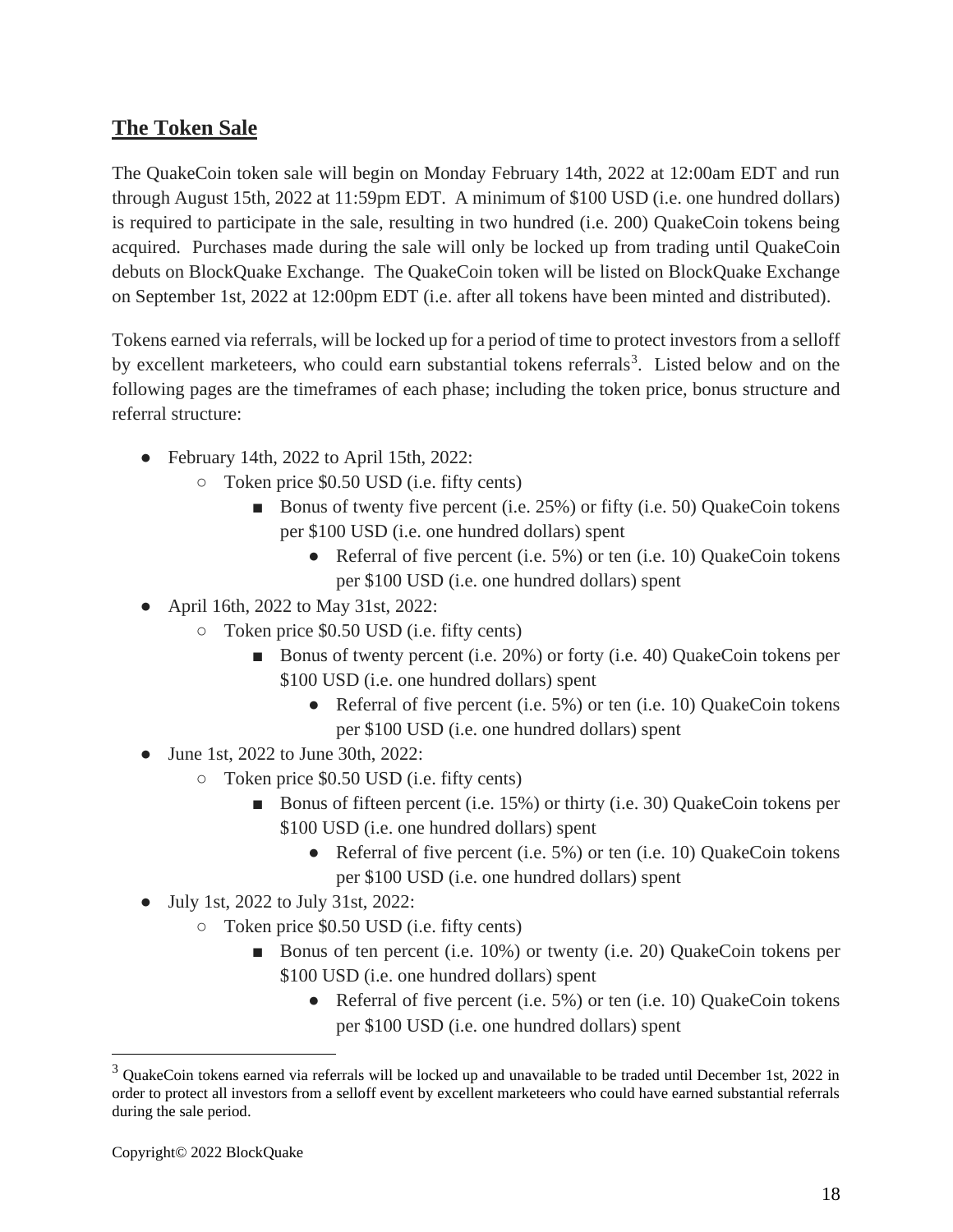### **The Token Sale**

The QuakeCoin token sale will begin on Monday February 14th, 2022 at 12:00am EDT and run through August 15th, 2022 at 11:59pm EDT. A minimum of \$100 USD (i.e. one hundred dollars) is required to participate in the sale, resulting in two hundred (i.e. 200) QuakeCoin tokens being acquired. Purchases made during the sale will only be locked up from trading until QuakeCoin debuts on BlockQuake Exchange. The QuakeCoin token will be listed on BlockQuake Exchange on September 1st, 2022 at 12:00pm EDT (i.e. after all tokens have been minted and distributed).

Tokens earned via referrals, will be locked up for a period of time to protect investors from a selloff by excellent marketeers, who could earn substantial tokens referrals<sup>3</sup>. Listed below and on the following pages are the timeframes of each phase; including the token price, bonus structure and referral structure:

- February 14th, 2022 to April 15th, 2022:
	- Token price \$0.50 USD (i.e. fifty cents)
		- Bonus of twenty five percent (i.e. 25%) or fifty (i.e. 50) QuakeCoin tokens per \$100 USD (i.e. one hundred dollars) spent
			- Referral of five percent (i.e. 5%) or ten (i.e. 10) QuakeCoin tokens per \$100 USD (i.e. one hundred dollars) spent
- April 16th, 2022 to May 31st, 2022:
	- Token price \$0.50 USD (i.e. fifty cents)
		- Bonus of twenty percent (i.e. 20%) or forty (i.e. 40) QuakeCoin tokens per \$100 USD (i.e. one hundred dollars) spent
			- Referral of five percent (i.e. 5%) or ten (i.e. 10) QuakeCoin tokens per \$100 USD (i.e. one hundred dollars) spent
- June 1st, 2022 to June 30th, 2022:
	- Token price \$0.50 USD (i.e. fifty cents)
		- Bonus of fifteen percent (i.e. 15%) or thirty (i.e. 30) QuakeCoin tokens per \$100 USD (i.e. one hundred dollars) spent
			- Referral of five percent (i.e. 5%) or ten (i.e. 10) QuakeCoin tokens per \$100 USD (i.e. one hundred dollars) spent
- July 1st, 2022 to July 31st, 2022:
	- Token price \$0.50 USD (i.e. fifty cents)
		- Bonus of ten percent (i.e. 10%) or twenty (i.e. 20) QuakeCoin tokens per \$100 USD (i.e. one hundred dollars) spent
			- Referral of five percent (i.e. 5%) or ten (i.e. 10) QuakeCoin tokens per \$100 USD (i.e. one hundred dollars) spent

 $3$  QuakeCoin tokens earned via referrals will be locked up and unavailable to be traded until December 1st, 2022 in order to protect all investors from a selloff event by excellent marketeers who could have earned substantial referrals during the sale period.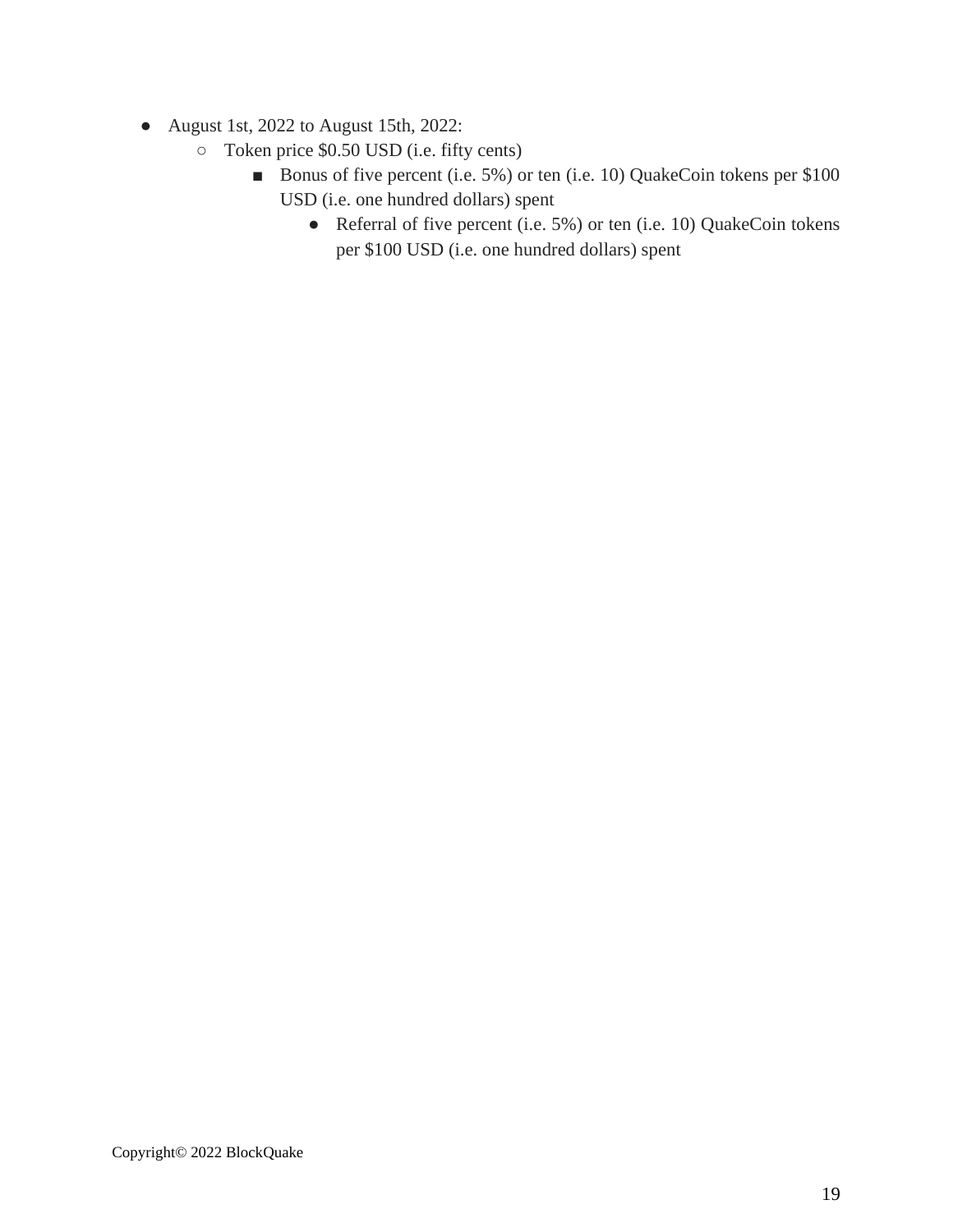- August 1st, 2022 to August 15th, 2022:
	- Token price \$0.50 USD (i.e. fifty cents)
		- Bonus of five percent (i.e. 5%) or ten (i.e. 10) QuakeCoin tokens per \$100 USD (i.e. one hundred dollars) spent
			- Referral of five percent (i.e. 5%) or ten (i.e. 10) QuakeCoin tokens per \$100 USD (i.e. one hundred dollars) spent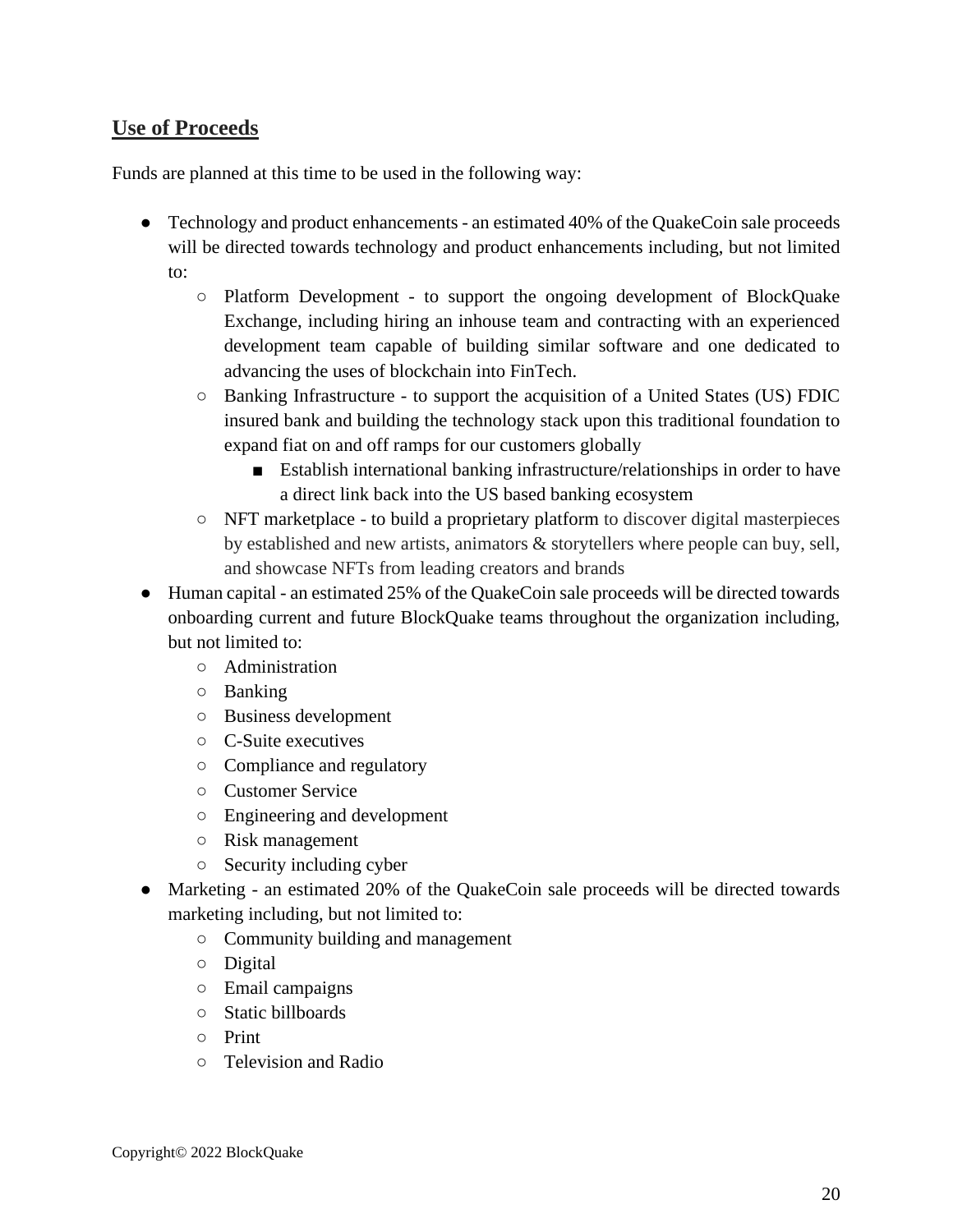#### **Use of Proceeds**

Funds are planned at this time to be used in the following way:

- Technology and product enhancements an estimated 40% of the QuakeCoin sale proceeds will be directed towards technology and product enhancements including, but not limited to:
	- Platform Development to support the ongoing development of BlockQuake Exchange, including hiring an inhouse team and contracting with an experienced development team capable of building similar software and one dedicated to advancing the uses of blockchain into FinTech.
	- Banking Infrastructure to support the acquisition of a United States (US) FDIC insured bank and building the technology stack upon this traditional foundation to expand fiat on and off ramps for our customers globally
		- Establish international banking infrastructure/relationships in order to have a direct link back into the US based banking ecosystem
	- NFT marketplace to build a proprietary platform to discover digital masterpieces by established and new artists, animators & storytellers where people can buy, sell, and showcase NFTs from leading creators and brands
- Human capital an estimated 25% of the QuakeCoin sale proceeds will be directed towards onboarding current and future BlockQuake teams throughout the organization including, but not limited to:
	- Administration
	- Banking
	- Business development
	- C-Suite executives
	- Compliance and regulatory
	- Customer Service
	- Engineering and development
	- Risk management
	- Security including cyber
- Marketing an estimated 20% of the QuakeCoin sale proceeds will be directed towards marketing including, but not limited to:
	- Community building and management
	- Digital
	- Email campaigns
	- Static billboards
	- Print
	- Television and Radio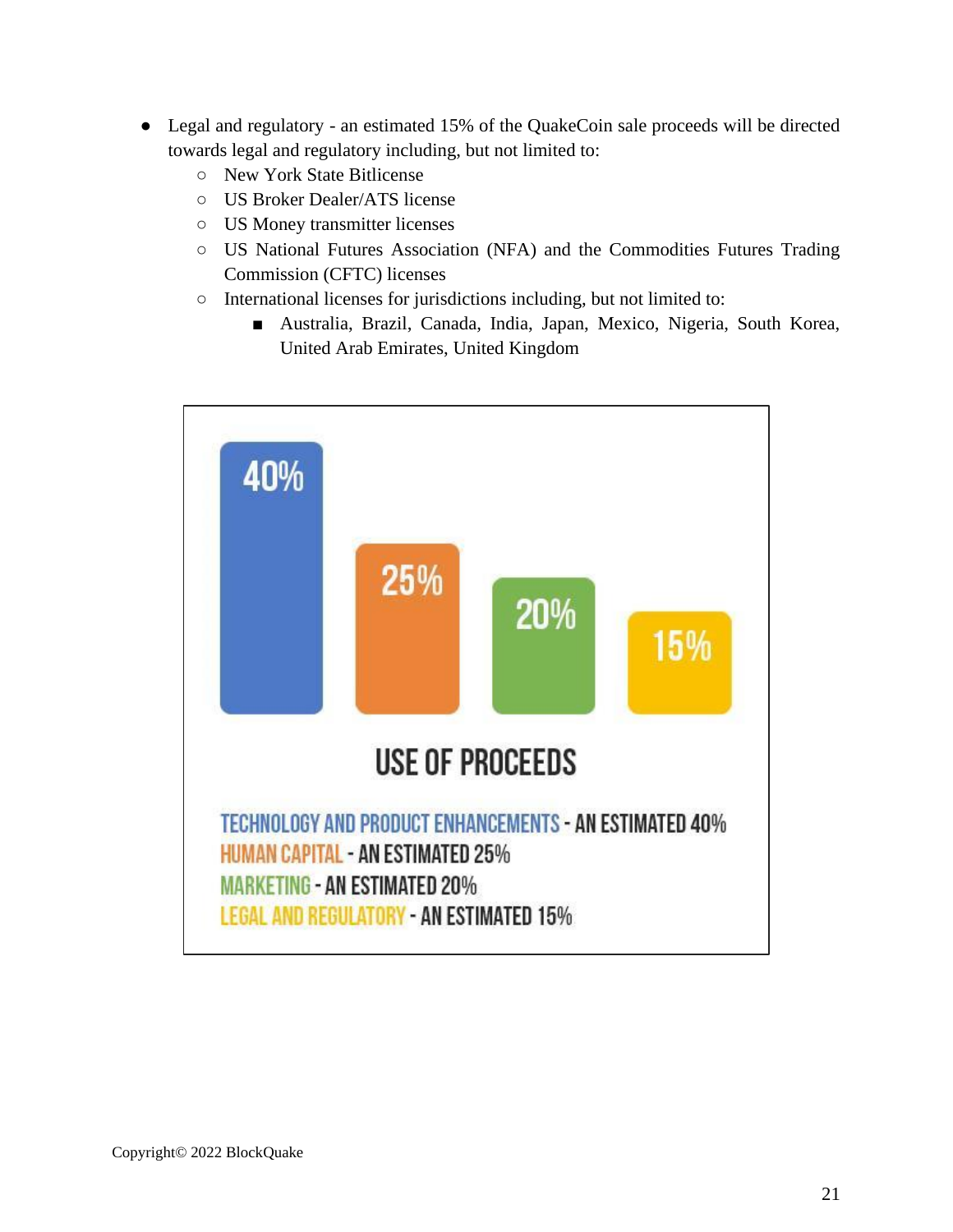- Legal and regulatory an estimated 15% of the QuakeCoin sale proceeds will be directed towards legal and regulatory including, but not limited to:
	- New York State Bitlicense
	- US Broker Dealer/ATS license
	- US Money transmitter licenses
	- US National Futures Association (NFA) and the Commodities Futures Trading Commission (CFTC) licenses
	- International licenses for jurisdictions including, but not limited to:
		- Australia, Brazil, Canada, India, Japan, Mexico, Nigeria, South Korea, United Arab Emirates, United Kingdom

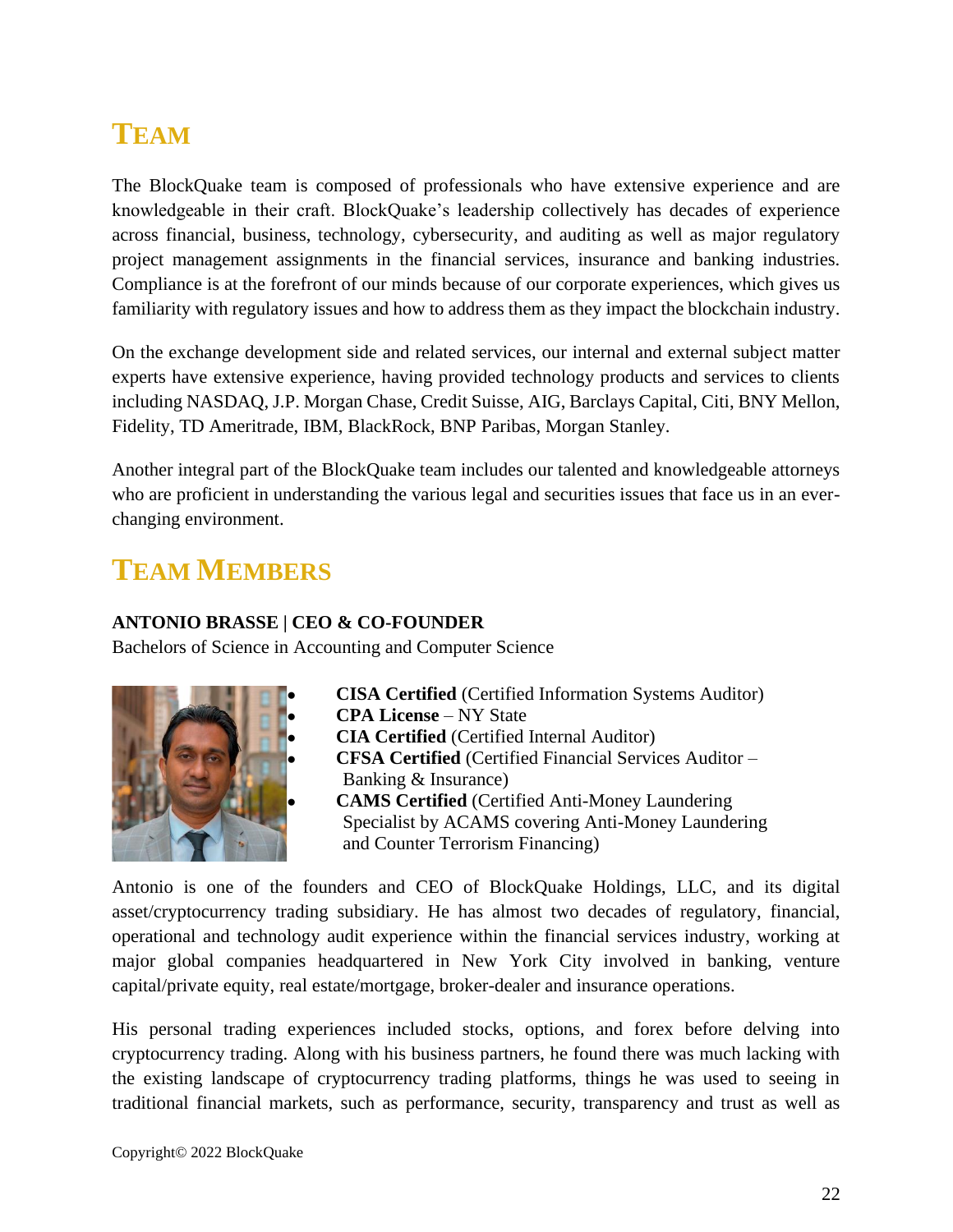# <span id="page-21-0"></span>**TEAM**

The BlockQuake team is composed of professionals who have extensive experience and are knowledgeable in their craft. BlockQuake's leadership collectively has decades of experience across financial, business, technology, cybersecurity, and auditing as well as major regulatory project management assignments in the financial services, insurance and banking industries. Compliance is at the forefront of our minds because of our corporate experiences, which gives us familiarity with regulatory issues and how to address them as they impact the blockchain industry.

On the exchange development side and related services, our internal and external subject matter experts have extensive experience, having provided technology products and services to clients including NASDAQ, J.P. Morgan Chase, Credit Suisse, AIG, Barclays Capital, Citi, BNY Mellon, Fidelity, TD Ameritrade, IBM, BlackRock, BNP Paribas, Morgan Stanley.

Another integral part of the BlockQuake team includes our talented and knowledgeable attorneys who are proficient in understanding the various legal and securities issues that face us in an everchanging environment.

### <span id="page-21-1"></span>**TEAM MEMBERS**

#### **ANTONIO BRASSE | CEO & CO-FOUNDER**

Bachelors of Science in Accounting and Computer Science



- **CISA Certified** (Certified Information Systems Auditor)
- **CPA License** NY State
- **CIA Certified** (Certified Internal Auditor)
- **CFSA Certified** (Certified Financial Services Auditor Banking & Insurance)
- **CAMS Certified** (Certified Anti-Money Laundering Specialist by ACAMS covering Anti-Money Laundering and Counter Terrorism Financing)

Antonio is one of the founders and CEO of BlockQuake Holdings, LLC, and its digital asset/cryptocurrency trading subsidiary. He has almost two decades of regulatory, financial, operational and technology audit experience within the financial services industry, working at major global companies headquartered in New York City involved in banking, venture capital/private equity, real estate/mortgage, broker-dealer and insurance operations.

His personal trading experiences included stocks, options, and forex before delving into cryptocurrency trading. Along with his business partners, he found there was much lacking with the existing landscape of cryptocurrency trading platforms, things he was used to seeing in traditional financial markets, such as performance, security, transparency and trust as well as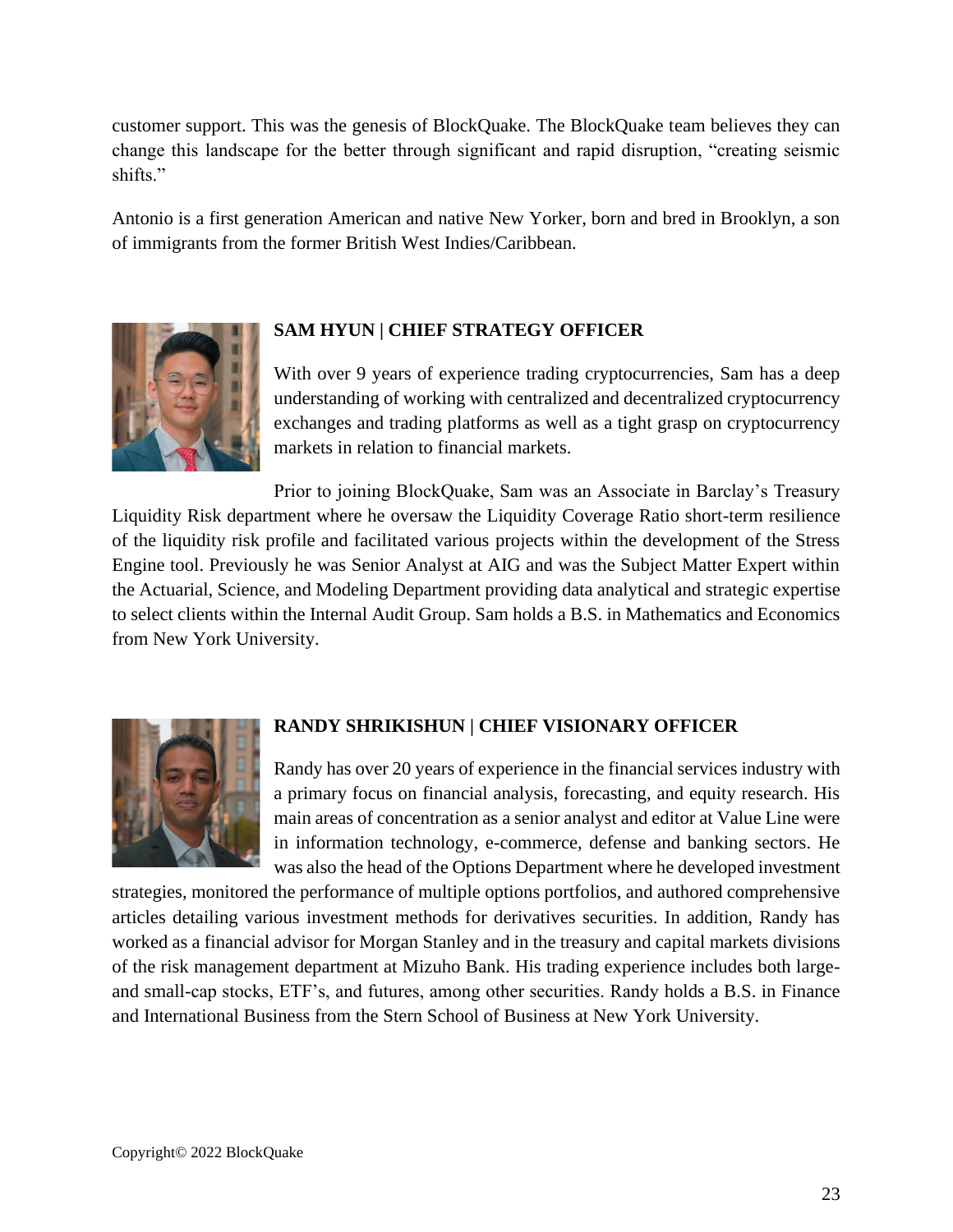customer support. This was the genesis of BlockQuake. The BlockQuake team believes they can change this landscape for the better through significant and rapid disruption, "creating seismic shifts."

Antonio is a first generation American and native New Yorker, born and bred in Brooklyn, a son of immigrants from the former British West Indies/Caribbean.



#### **SAM HYUN | CHIEF STRATEGY OFFICER**

With over 9 years of experience trading cryptocurrencies, Sam has a deep understanding of working with centralized and decentralized cryptocurrency exchanges and trading platforms as well as a tight grasp on cryptocurrency markets in relation to financial markets.

Prior to joining BlockQuake, Sam was an Associate in Barclay's Treasury Liquidity Risk department where he oversaw the Liquidity Coverage Ratio short-term resilience of the liquidity risk profile and facilitated various projects within the development of the Stress Engine tool. Previously he was Senior Analyst at AIG and was the Subject Matter Expert within the Actuarial, Science, and Modeling Department providing data analytical and strategic expertise to select clients within the Internal Audit Group. Sam holds a B.S. in Mathematics and Economics from New York University.



#### **RANDY SHRIKISHUN | CHIEF VISIONARY OFFICER**

Randy has over 20 years of experience in the financial services industry with a primary focus on financial analysis, forecasting, and equity research. His main areas of concentration as a senior analyst and editor at Value Line were in information technology, e-commerce, defense and banking sectors. He was also the head of the Options Department where he developed investment

strategies, monitored the performance of multiple options portfolios, and authored comprehensive articles detailing various investment methods for derivatives securities. In addition, Randy has worked as a financial advisor for Morgan Stanley and in the treasury and capital markets divisions of the risk management department at Mizuho Bank. His trading experience includes both largeand small-cap stocks, ETF's, and futures, among other securities. Randy holds a B.S. in Finance and International Business from the Stern School of Business at New York University.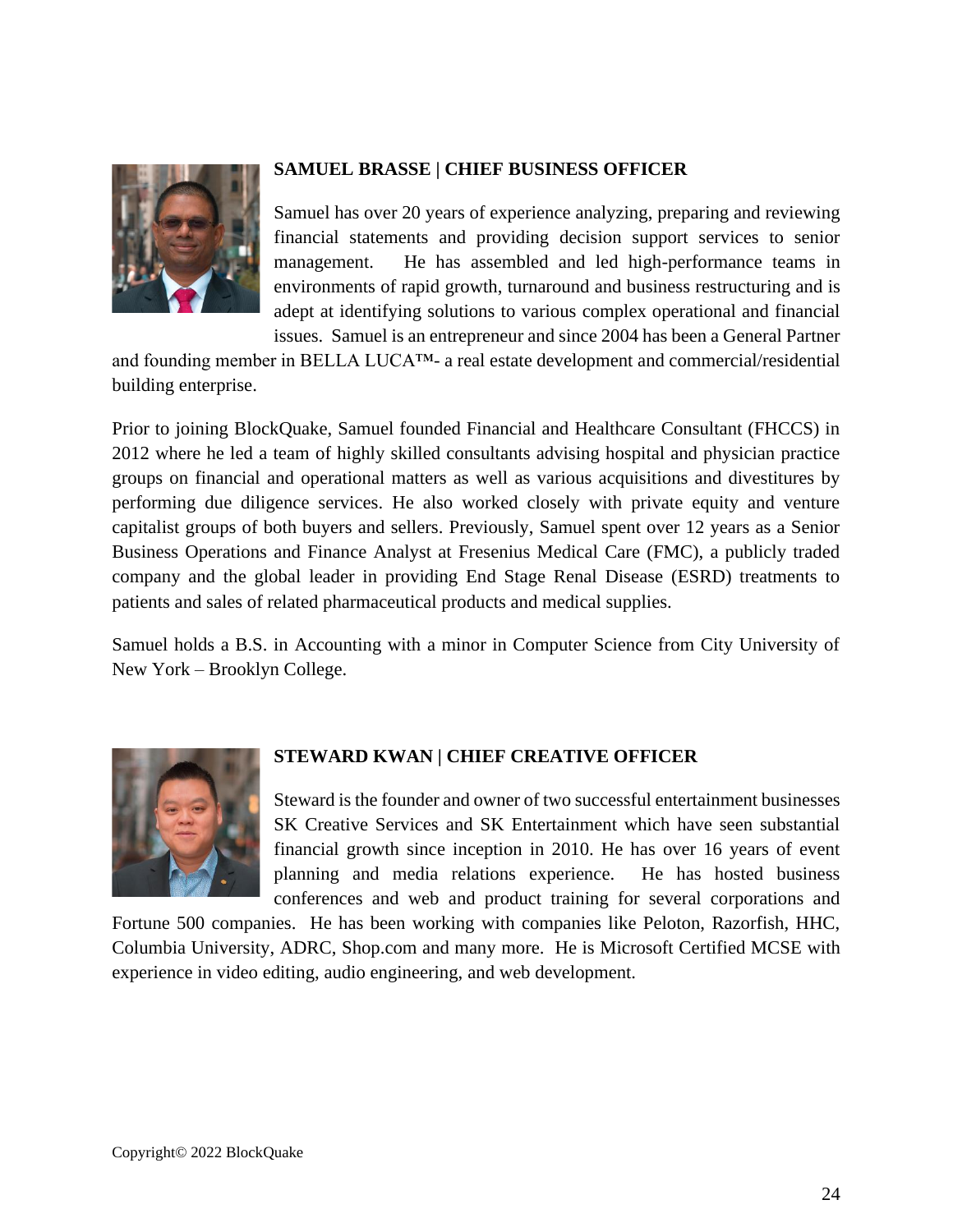

#### **SAMUEL BRASSE | CHIEF BUSINESS OFFICER**

Samuel has over 20 years of experience analyzing, preparing and reviewing financial statements and providing decision support services to senior management. He has assembled and led high-performance teams in environments of rapid growth, turnaround and business restructuring and is adept at identifying solutions to various complex operational and financial issues. Samuel is an entrepreneur and since 2004 has been a General Partner

and founding member in BELLA LUCA™- a real estate development and commercial/residential building enterprise.

Prior to joining BlockQuake, Samuel founded Financial and Healthcare Consultant (FHCCS) in 2012 where he led a team of highly skilled consultants advising hospital and physician practice groups on financial and operational matters as well as various acquisitions and divestitures by performing due diligence services. He also worked closely with private equity and venture capitalist groups of both buyers and sellers. Previously, Samuel spent over 12 years as a Senior Business Operations and Finance Analyst at Fresenius Medical Care (FMC), a publicly traded company and the global leader in providing End Stage Renal Disease (ESRD) treatments to patients and sales of related pharmaceutical products and medical supplies.

Samuel holds a B.S. in Accounting with a minor in Computer Science from City University of New York – Brooklyn College.



#### **STEWARD KWAN | CHIEF CREATIVE OFFICER**

Steward is the founder and owner of two successful entertainment businesses SK Creative Services and SK Entertainment which have seen substantial financial growth since inception in 2010. He has over 16 years of event planning and media relations experience. He has hosted business conferences and web and product training for several corporations and

Fortune 500 companies. He has been working with companies like Peloton, Razorfish, HHC, Columbia University, ADRC, Shop.com and many more. He is Microsoft Certified MCSE with experience in video editing, audio engineering, and web development.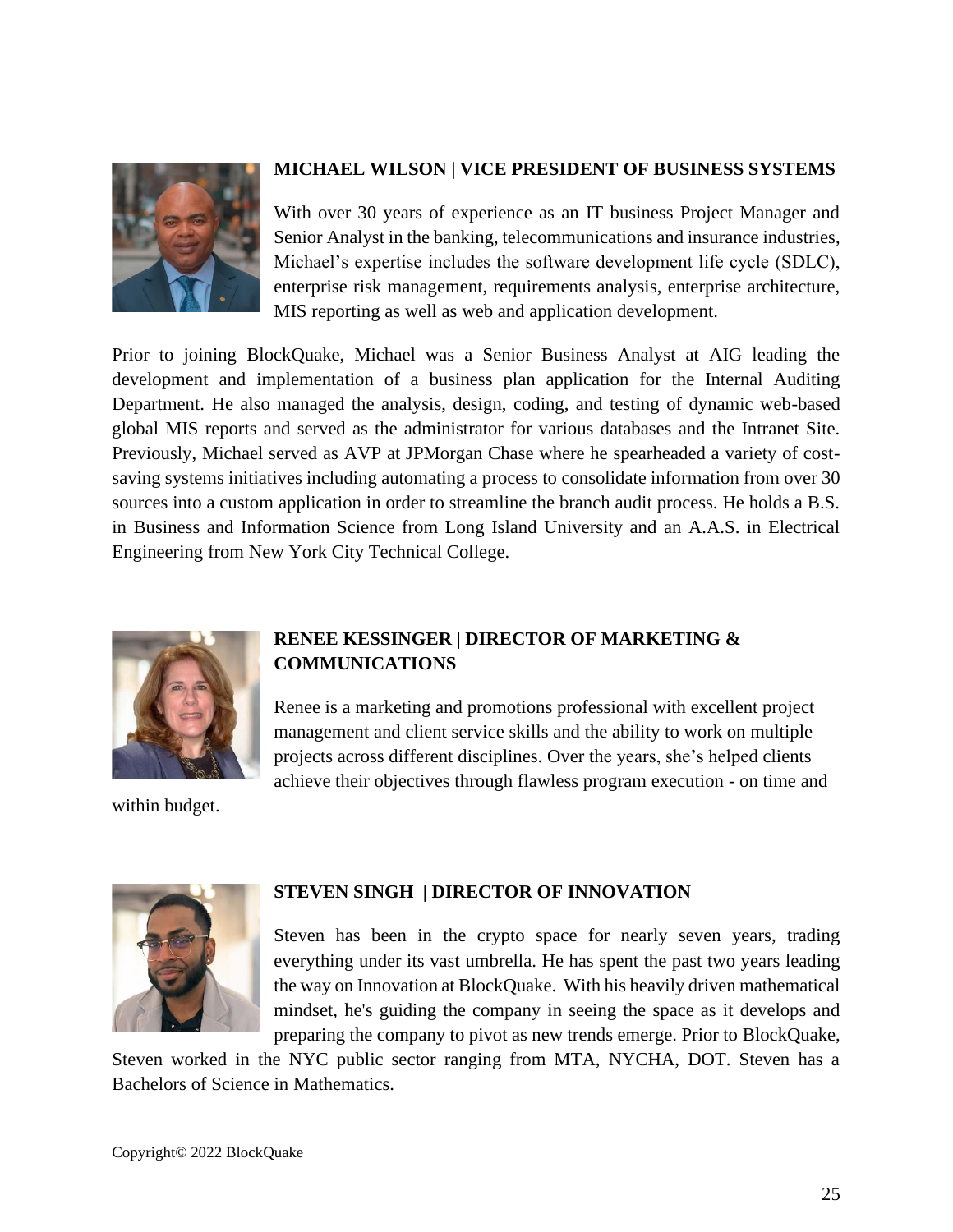

#### **MICHAEL WILSON | VICE PRESIDENT OF BUSINESS SYSTEMS**

With over 30 years of experience as an IT business Project Manager and Senior Analyst in the banking, telecommunications and insurance industries, Michael's expertise includes the software development life cycle (SDLC), enterprise risk management, requirements analysis, enterprise architecture, MIS reporting as well as web and application development.

Prior to joining BlockQuake, Michael was a Senior Business Analyst at AIG leading the development and implementation of a business plan application for the Internal Auditing Department. He also managed the analysis, design, coding, and testing of dynamic web-based global MIS reports and served as the administrator for various databases and the Intranet Site. Previously, Michael served as AVP at JPMorgan Chase where he spearheaded a variety of costsaving systems initiatives including automating a process to consolidate information from over 30 sources into a custom application in order to streamline the branch audit process. He holds a B.S. in Business and Information Science from Long Island University and an A.A.S. in Electrical Engineering from New York City Technical College.



#### **RENEE KESSINGER | DIRECTOR OF MARKETING & COMMUNICATIONS**

Renee is a marketing and promotions professional with excellent project management and client service skills and the ability to work on multiple projects across different disciplines. Over the years, she's helped clients achieve their objectives through flawless program execution - on time and

within budget.



#### **STEVEN SINGH | DIRECTOR OF INNOVATION**

Steven has been in the crypto space for nearly seven years, trading everything under its vast umbrella. He has spent the past two years leading the way on Innovation at BlockQuake. With his heavily driven mathematical mindset, he's guiding the company in seeing the space as it develops and preparing the company to pivot as new trends emerge. Prior to BlockQuake,

Steven worked in the NYC public sector ranging from MTA, NYCHA, DOT. Steven has a Bachelors of Science in Mathematics.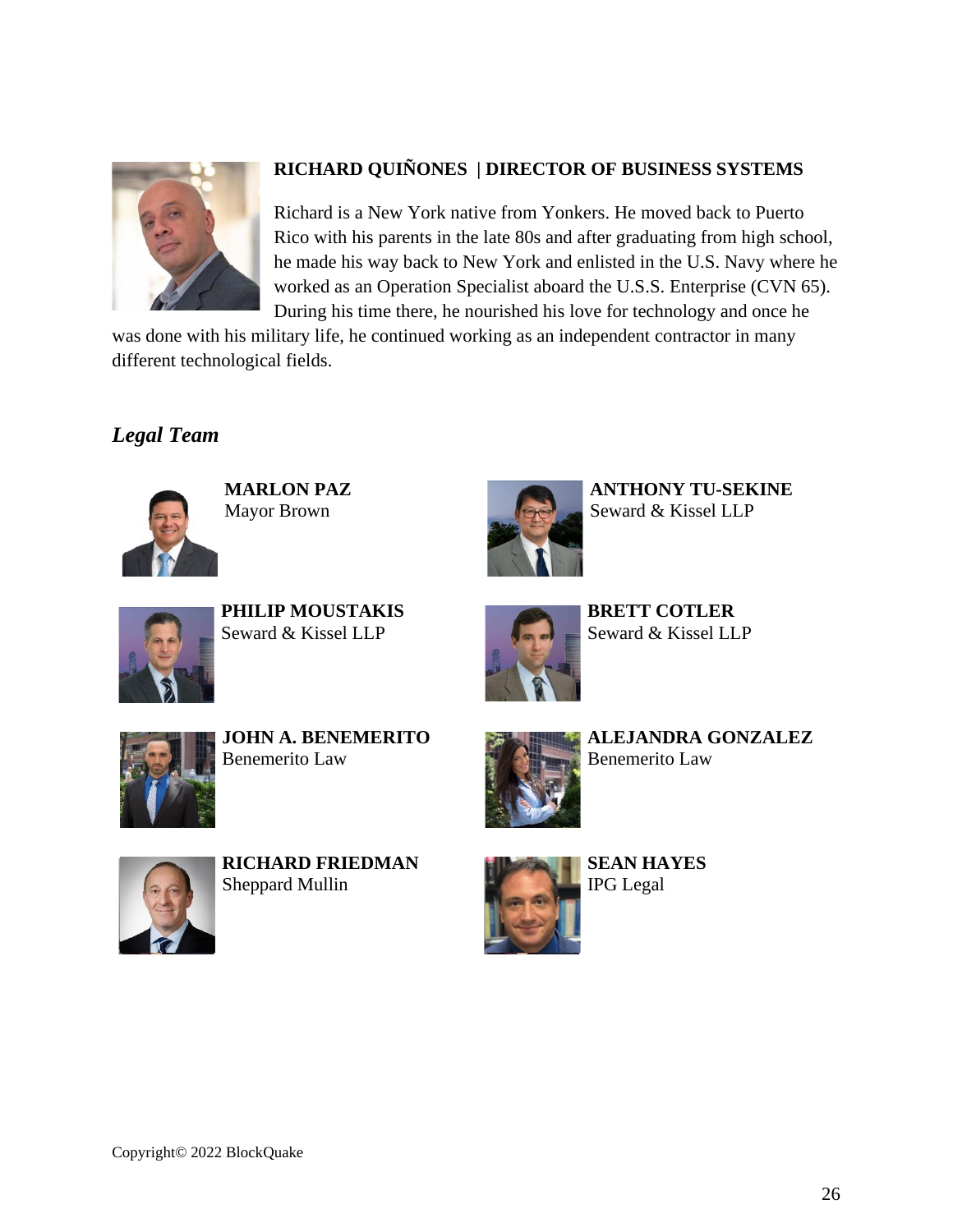

#### **RICHARD QUIÑONES | DIRECTOR OF BUSINESS SYSTEMS**

Richard is a New York native from Yonkers. He moved back to Puerto Rico with his parents in the late 80s and after graduating from high school, he made his way back to New York and enlisted in the U.S. Navy where he worked as an Operation Specialist aboard the U.S.S. Enterprise (CVN 65). During his time there, he nourished his love for technology and once he

was done with his military life, he continued working as an independent contractor in many different technological fields.

### <span id="page-25-0"></span>*Legal Team*



**MARLON PAZ** Mayor Brown



**ANTHONY TU-SEKINE** Seward & Kissel LLP



**PHILIP MOUSTAKIS** Seward & Kissel LLP



**BRETT COTLER** Seward & Kissel LLP



**JOHN A. BENEMERITO** Benemerito Law



**ALEJANDRA GONZALEZ** Benemerito Law



**RICHARD FRIEDMAN** Sheppard Mullin



**SEAN HAYES** IPG Legal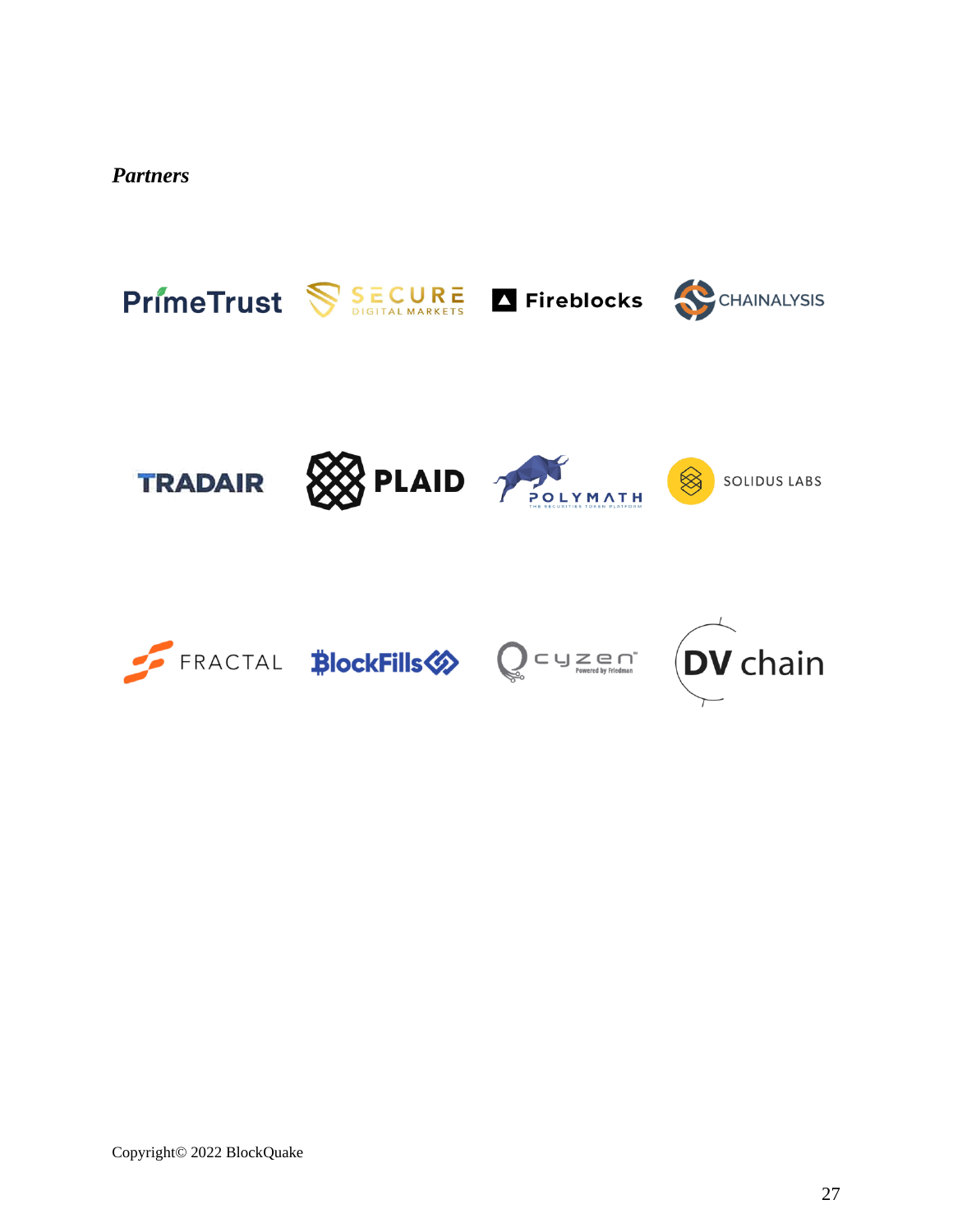<span id="page-26-0"></span>*Partners*

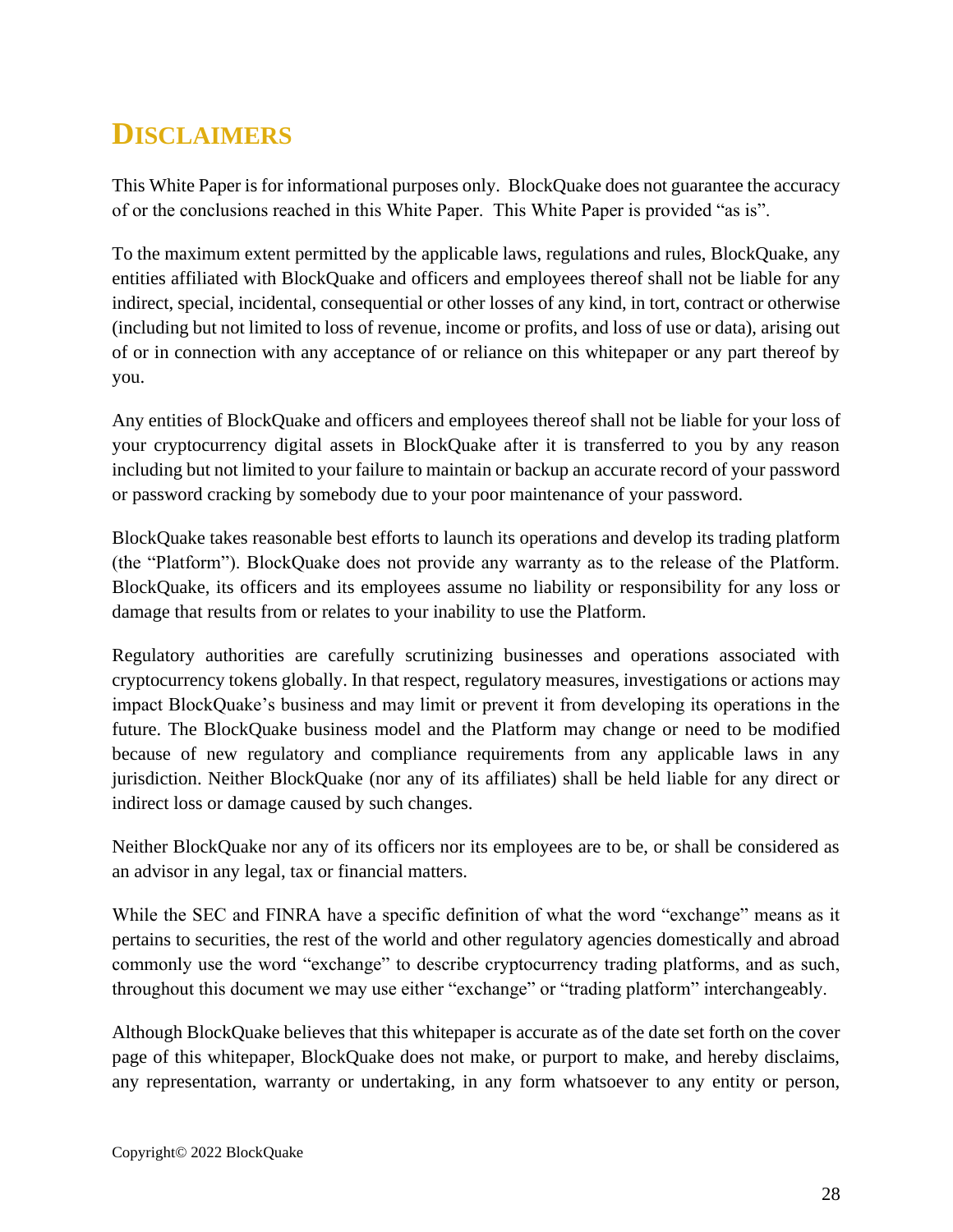# <span id="page-27-0"></span>**DISCLAIMERS**

This White Paper is for informational purposes only. BlockQuake does not guarantee the accuracy of or the conclusions reached in this White Paper. This White Paper is provided "as is".

To the maximum extent permitted by the applicable laws, regulations and rules, BlockQuake, any entities affiliated with BlockQuake and officers and employees thereof shall not be liable for any indirect, special, incidental, consequential or other losses of any kind, in tort, contract or otherwise (including but not limited to loss of revenue, income or profits, and loss of use or data), arising out of or in connection with any acceptance of or reliance on this whitepaper or any part thereof by you.

Any entities of BlockQuake and officers and employees thereof shall not be liable for your loss of your cryptocurrency digital assets in BlockQuake after it is transferred to you by any reason including but not limited to your failure to maintain or backup an accurate record of your password or password cracking by somebody due to your poor maintenance of your password.

BlockQuake takes reasonable best efforts to launch its operations and develop its trading platform (the "Platform"). BlockQuake does not provide any warranty as to the release of the Platform. BlockQuake, its officers and its employees assume no liability or responsibility for any loss or damage that results from or relates to your inability to use the Platform.

Regulatory authorities are carefully scrutinizing businesses and operations associated with cryptocurrency tokens globally. In that respect, regulatory measures, investigations or actions may impact BlockQuake's business and may limit or prevent it from developing its operations in the future. The BlockQuake business model and the Platform may change or need to be modified because of new regulatory and compliance requirements from any applicable laws in any jurisdiction. Neither BlockQuake (nor any of its affiliates) shall be held liable for any direct or indirect loss or damage caused by such changes.

Neither BlockQuake nor any of its officers nor its employees are to be, or shall be considered as an advisor in any legal, tax or financial matters.

While the SEC and FINRA have a specific definition of what the word "exchange" means as it pertains to securities, the rest of the world and other regulatory agencies domestically and abroad commonly use the word "exchange" to describe cryptocurrency trading platforms, and as such, throughout this document we may use either "exchange" or "trading platform" interchangeably.

Although BlockQuake believes that this whitepaper is accurate as of the date set forth on the cover page of this whitepaper, BlockQuake does not make, or purport to make, and hereby disclaims, any representation, warranty or undertaking, in any form whatsoever to any entity or person,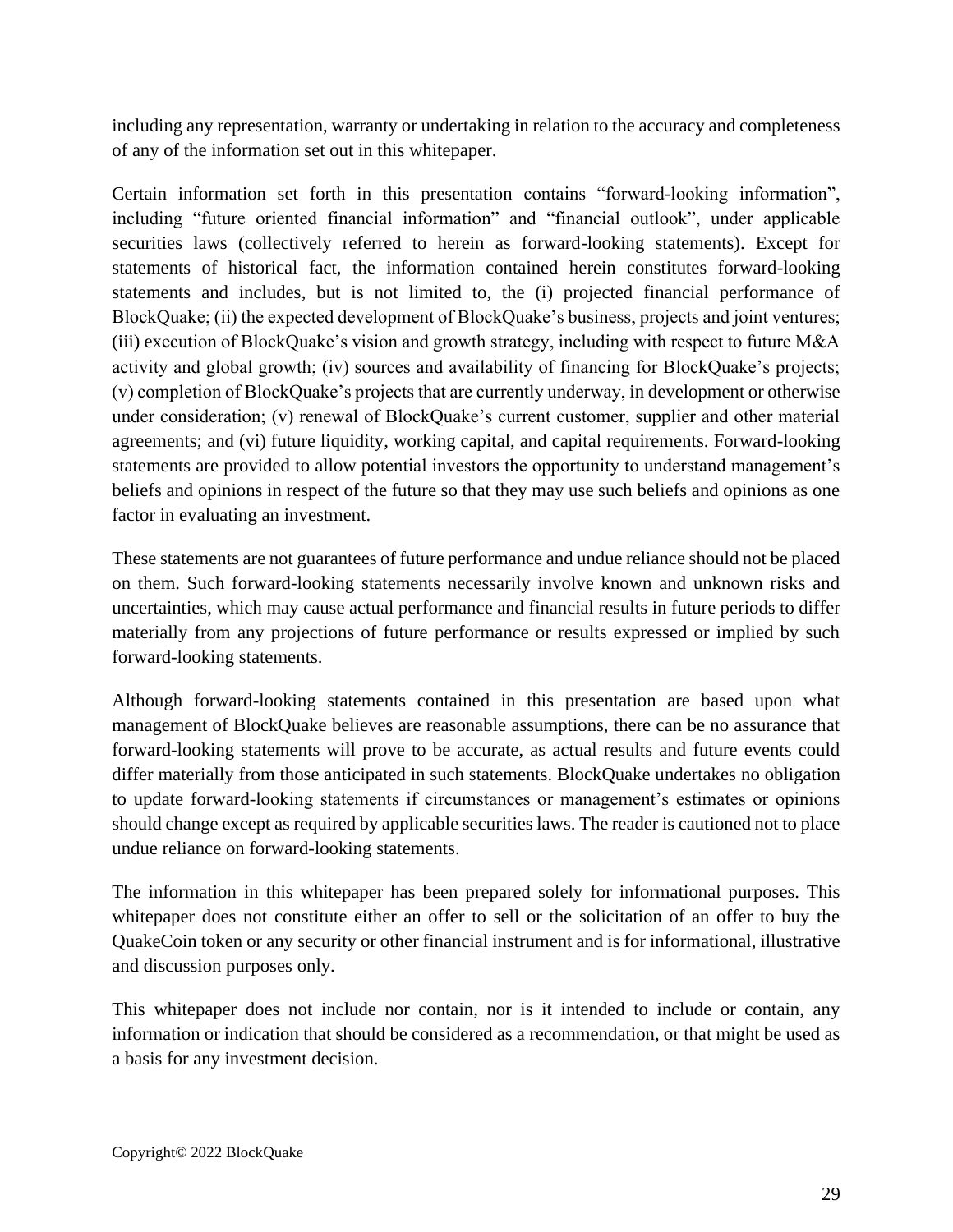including any representation, warranty or undertaking in relation to the accuracy and completeness of any of the information set out in this whitepaper.

Certain information set forth in this presentation contains "forward-looking information", including "future oriented financial information" and "financial outlook", under applicable securities laws (collectively referred to herein as forward-looking statements). Except for statements of historical fact, the information contained herein constitutes forward-looking statements and includes, but is not limited to, the (i) projected financial performance of BlockQuake; (ii) the expected development of BlockQuake's business, projects and joint ventures; (iii) execution of BlockQuake's vision and growth strategy, including with respect to future M&A activity and global growth; (iv) sources and availability of financing for BlockQuake's projects; (v) completion of BlockQuake's projects that are currently underway, in development or otherwise under consideration; (v) renewal of BlockQuake's current customer, supplier and other material agreements; and (vi) future liquidity, working capital, and capital requirements. Forward-looking statements are provided to allow potential investors the opportunity to understand management's beliefs and opinions in respect of the future so that they may use such beliefs and opinions as one factor in evaluating an investment.

These statements are not guarantees of future performance and undue reliance should not be placed on them. Such forward-looking statements necessarily involve known and unknown risks and uncertainties, which may cause actual performance and financial results in future periods to differ materially from any projections of future performance or results expressed or implied by such forward-looking statements.

Although forward-looking statements contained in this presentation are based upon what management of BlockQuake believes are reasonable assumptions, there can be no assurance that forward-looking statements will prove to be accurate, as actual results and future events could differ materially from those anticipated in such statements. BlockQuake undertakes no obligation to update forward-looking statements if circumstances or management's estimates or opinions should change except as required by applicable securities laws. The reader is cautioned not to place undue reliance on forward-looking statements.

The information in this whitepaper has been prepared solely for informational purposes. This whitepaper does not constitute either an offer to sell or the solicitation of an offer to buy the QuakeCoin token or any security or other financial instrument and is for informational, illustrative and discussion purposes only.

This whitepaper does not include nor contain, nor is it intended to include or contain, any information or indication that should be considered as a recommendation, or that might be used as a basis for any investment decision.